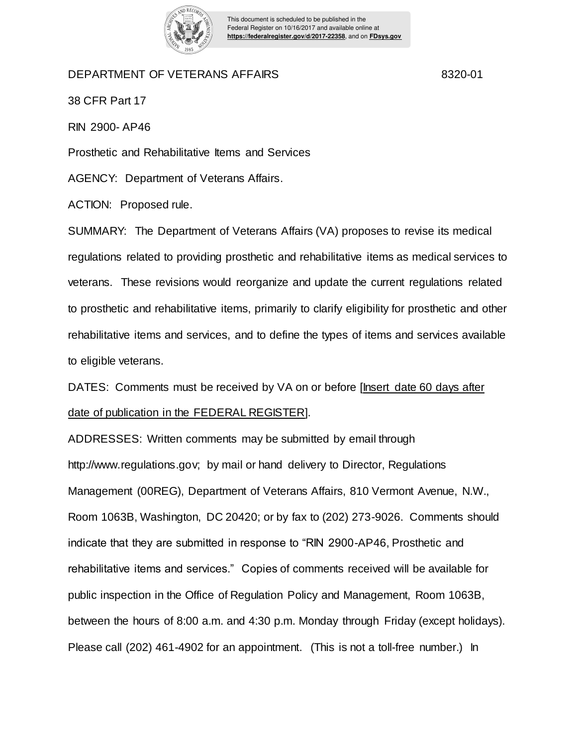

This document is scheduled to be published in the Federal Register on 10/16/2017 and available online at **https://federalregister.gov/d/2017-22358**, and on **FDsys.gov**

# DEPARTMENT OF VETERANS AFFAIRS 8320-01

38 CFR Part 17

RIN 2900- AP46

Prosthetic and Rehabilitative Items and Services

AGENCY: Department of Veterans Affairs.

ACTION: Proposed rule.

SUMMARY: The Department of Veterans Affairs (VA) proposes to revise its medical regulations related to providing prosthetic and rehabilitative items as medical services to veterans. These revisions would reorganize and update the current regulations related to prosthetic and rehabilitative items, primarily to clarify eligibility for prosthetic and other rehabilitative items and services, and to define the types of items and services available to eligible veterans.

DATES: Comments must be received by VA on or before [Insert date 60 days after date of publication in the FEDERAL REGISTER].

ADDRESSES: Written comments may be submitted by email through http://www.regulations.gov; by mail or hand delivery to Director, Regulations Management (00REG), Department of Veterans Affairs, 810 Vermont Avenue, N.W., Room 1063B, Washington, DC 20420; or by fax to (202) 273-9026. Comments should indicate that they are submitted in response to "RIN 2900-AP46, Prosthetic and rehabilitative items and services." Copies of comments received will be available for public inspection in the Office of Regulation Policy and Management, Room 1063B, between the hours of 8:00 a.m. and 4:30 p.m. Monday through Friday (except holidays). Please call (202) 461-4902 for an appointment. (This is not a toll-free number.) In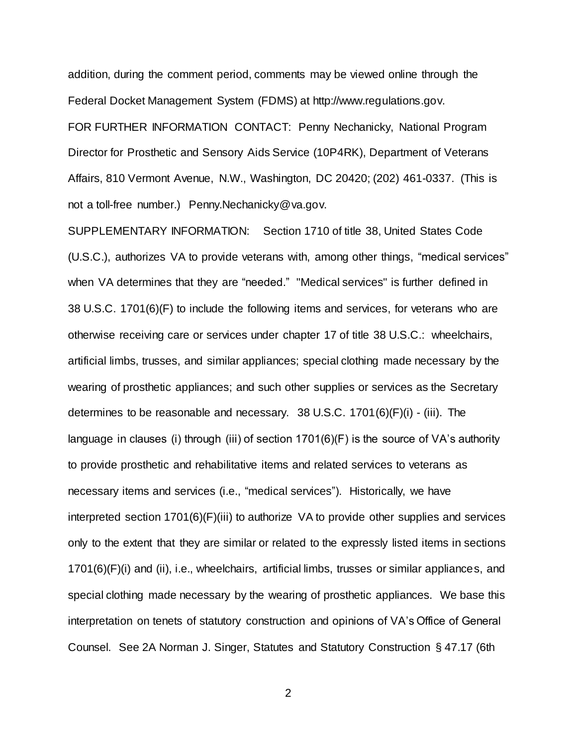addition, during the comment period, comments may be viewed online through the Federal Docket Management System (FDMS) at http://www.regulations.gov. FOR FURTHER INFORMATION CONTACT: Penny Nechanicky, National Program Director for Prosthetic and Sensory Aids Service (10P4RK), Department of Veterans Affairs, 810 Vermont Avenue, N.W., Washington, DC 20420; (202) 461-0337. (This is not a toll-free number.) Penny.Nechanicky@va.gov.

SUPPLEMENTARY INFORMATION: Section 1710 of title 38, United States Code (U.S.C.), authorizes VA to provide veterans with, among other things, "medical services" when VA determines that they are "needed." "Medical services" is further defined in 38 U.S.C. 1701(6)(F) to include the following items and services, for veterans who are otherwise receiving care or services under chapter 17 of title 38 U.S.C.: wheelchairs, artificial limbs, trusses, and similar appliances; special clothing made necessary by the wearing of prosthetic appliances; and such other supplies or services as the Secretary determines to be reasonable and necessary. 38 U.S.C. 1701(6)(F)(i) - (iii). The language in clauses (i) through (iii) of section 1701(6)(F) is the source of VA's authority to provide prosthetic and rehabilitative items and related services to veterans as necessary items and services (i.e., "medical services"). Historically, we have interpreted section 1701(6)(F)(iii) to authorize VA to provide other supplies and services only to the extent that they are similar or related to the expressly listed items in sections 1701(6)(F)(i) and (ii), i.e., wheelchairs, artificial limbs, trusses or similar appliances, and special clothing made necessary by the wearing of prosthetic appliances. We base this interpretation on tenets of statutory construction and opinions of VA's Office of General Counsel. See 2A Norman J. Singer, Statutes and Statutory Construction § 47.17 (6th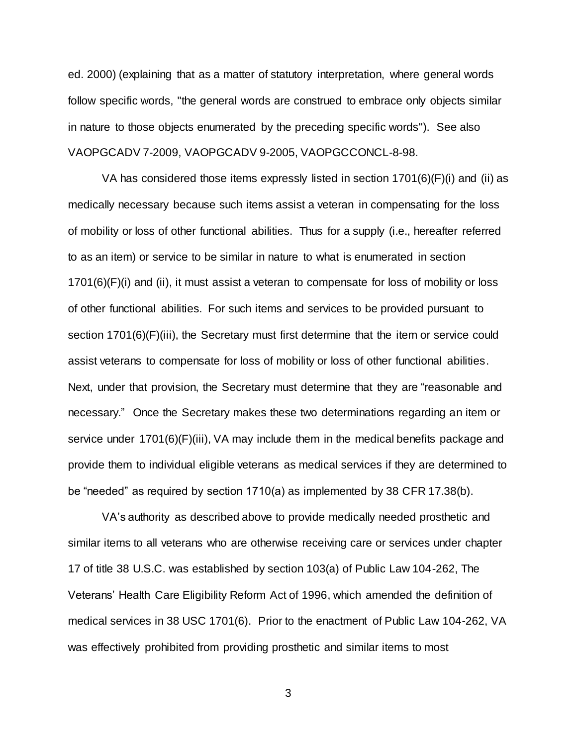ed. 2000) (explaining that as a matter of statutory interpretation, where general words follow specific words, "the general words are construed to embrace only objects similar in nature to those objects enumerated by the preceding specific words"). See also VAOPGCADV 7-2009, VAOPGCADV 9-2005, VAOPGCCONCL-8-98.

VA has considered those items expressly listed in section 1701(6)(F)(i) and (ii) as medically necessary because such items assist a veteran in compensating for the loss of mobility or loss of other functional abilities. Thus for a supply (i.e., hereafter referred to as an item) or service to be similar in nature to what is enumerated in section 1701(6)(F)(i) and (ii), it must assist a veteran to compensate for loss of mobility or loss of other functional abilities. For such items and services to be provided pursuant to section 1701(6)(F)(iii), the Secretary must first determine that the item or service could assist veterans to compensate for loss of mobility or loss of other functional abilities. Next, under that provision, the Secretary must determine that they are "reasonable and necessary." Once the Secretary makes these two determinations regarding an item or service under 1701(6)(F)(iii), VA may include them in the medical benefits package and provide them to individual eligible veterans as medical services if they are determined to be "needed" as required by section 1710(a) as implemented by 38 CFR 17.38(b).

VA's authority as described above to provide medically needed prosthetic and similar items to all veterans who are otherwise receiving care or services under chapter 17 of title 38 U.S.C. was established by section 103(a) of Public Law 104-262, The Veterans' Health Care Eligibility Reform Act of 1996, which amended the definition of medical services in 38 USC 1701(6). Prior to the enactment of Public Law 104-262, VA was effectively prohibited from providing prosthetic and similar items to most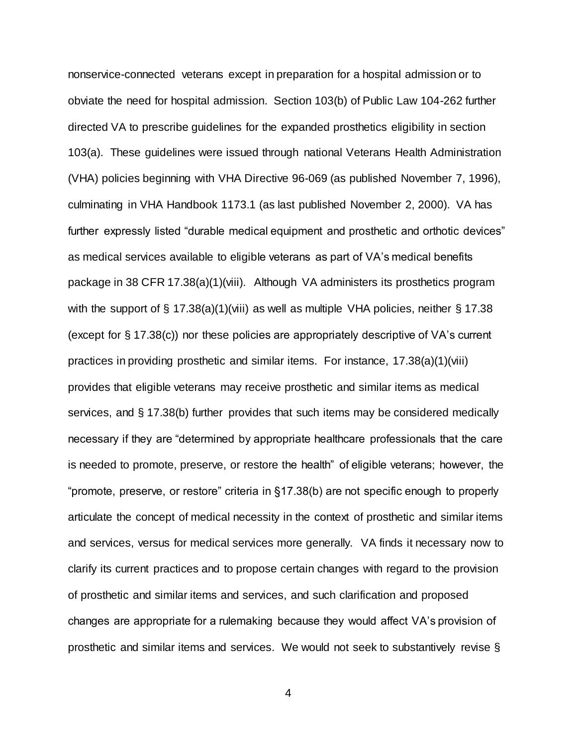nonservice-connected veterans except in preparation for a hospital admission or to obviate the need for hospital admission. Section 103(b) of Public Law 104-262 further directed VA to prescribe guidelines for the expanded prosthetics eligibility in section 103(a). These guidelines were issued through national Veterans Health Administration (VHA) policies beginning with VHA Directive 96-069 (as published November 7, 1996), culminating in VHA Handbook 1173.1 (as last published November 2, 2000). VA has further expressly listed "durable medical equipment and prosthetic and orthotic devices" as medical services available to eligible veterans as part of VA's medical benefits package in 38 CFR 17.38(a)(1)(viii). Although VA administers its prosthetics program with the support of  $\S$  17.38(a)(1)(viii) as well as multiple VHA policies, neither  $\S$  17.38 (except for § 17.38(c)) nor these policies are appropriately descriptive of VA's current practices in providing prosthetic and similar items. For instance, 17.38(a)(1)(viii) provides that eligible veterans may receive prosthetic and similar items as medical services, and § 17.38(b) further provides that such items may be considered medically necessary if they are "determined by appropriate healthcare professionals that the care is needed to promote, preserve, or restore the health" of eligible veterans; however, the "promote, preserve, or restore" criteria in §17.38(b) are not specific enough to properly articulate the concept of medical necessity in the context of prosthetic and similar items and services, versus for medical services more generally. VA finds it necessary now to clarify its current practices and to propose certain changes with regard to the provision of prosthetic and similar items and services, and such clarification and proposed changes are appropriate for a rulemaking because they would affect VA's provision of prosthetic and similar items and services. We would not seek to substantively revise §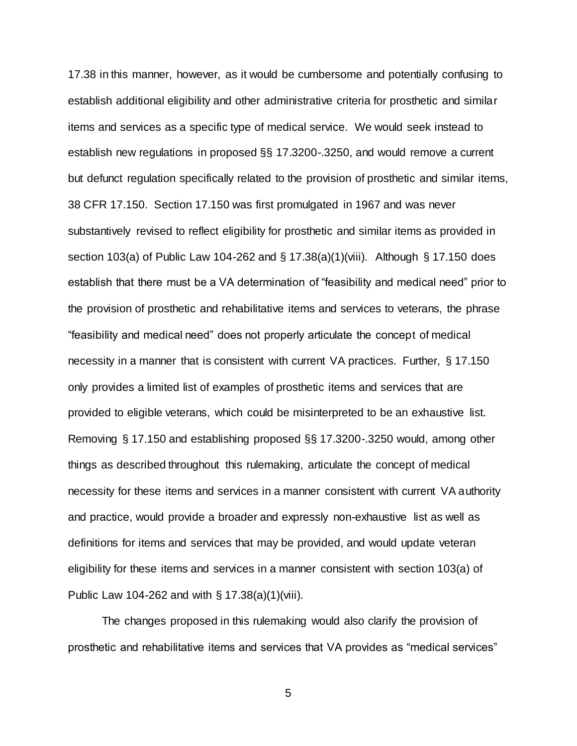17.38 in this manner, however, as it would be cumbersome and potentially confusing to establish additional eligibility and other administrative criteria for prosthetic and similar items and services as a specific type of medical service. We would seek instead to establish new regulations in proposed §§ 17.3200-.3250, and would remove a current but defunct regulation specifically related to the provision of prosthetic and similar items, 38 CFR 17.150. Section 17.150 was first promulgated in 1967 and was never substantively revised to reflect eligibility for prosthetic and similar items as provided in section 103(a) of Public Law 104-262 and § 17.38(a)(1)(viii). Although § 17.150 does establish that there must be a VA determination of "feasibility and medical need" prior to the provision of prosthetic and rehabilitative items and services to veterans, the phrase "feasibility and medical need" does not properly articulate the concept of medical necessity in a manner that is consistent with current VA practices. Further, § 17.150 only provides a limited list of examples of prosthetic items and services that are provided to eligible veterans, which could be misinterpreted to be an exhaustive list. Removing § 17.150 and establishing proposed §§ 17.3200-.3250 would, among other things as described throughout this rulemaking, articulate the concept of medical necessity for these items and services in a manner consistent with current VA authority and practice, would provide a broader and expressly non-exhaustive list as well as definitions for items and services that may be provided, and would update veteran eligibility for these items and services in a manner consistent with section 103(a) of Public Law 104-262 and with  $\S$  17.38(a)(1)(viii).

The changes proposed in this rulemaking would also clarify the provision of prosthetic and rehabilitative items and services that VA provides as "medical services"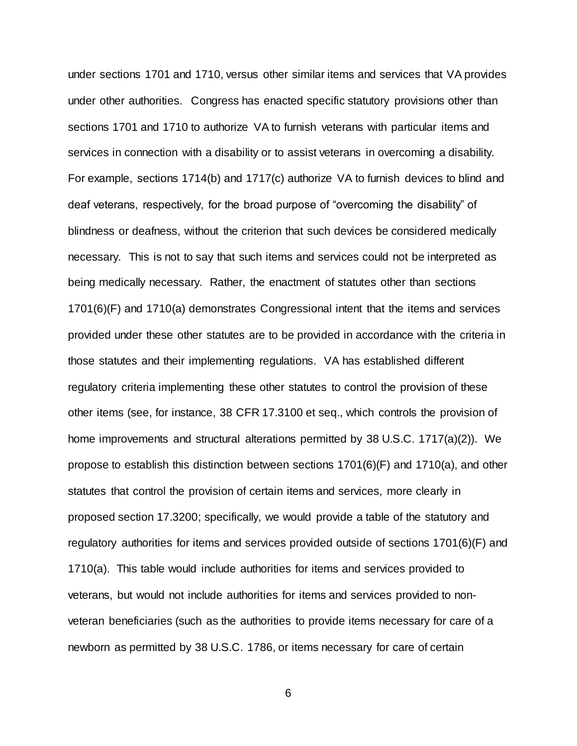under sections 1701 and 1710, versus other similar items and services that VA provides under other authorities. Congress has enacted specific statutory provisions other than sections 1701 and 1710 to authorize VA to furnish veterans with particular items and services in connection with a disability or to assist veterans in overcoming a disability. For example, sections 1714(b) and 1717(c) authorize VA to furnish devices to blind and deaf veterans, respectively, for the broad purpose of "overcoming the disability" of blindness or deafness, without the criterion that such devices be considered medically necessary. This is not to say that such items and services could not be interpreted as being medically necessary. Rather, the enactment of statutes other than sections 1701(6)(F) and 1710(a) demonstrates Congressional intent that the items and services provided under these other statutes are to be provided in accordance with the criteria in those statutes and their implementing regulations. VA has established different regulatory criteria implementing these other statutes to control the provision of these other items (see, for instance, 38 CFR 17.3100 et seq., which controls the provision of home improvements and structural alterations permitted by 38 U.S.C. 1717(a)(2)). We propose to establish this distinction between sections 1701(6)(F) and 1710(a), and other statutes that control the provision of certain items and services, more clearly in proposed section 17.3200; specifically, we would provide a table of the statutory and regulatory authorities for items and services provided outside of sections 1701(6)(F) and 1710(a). This table would include authorities for items and services provided to veterans, but would not include authorities for items and services provided to nonveteran beneficiaries (such as the authorities to provide items necessary for care of a newborn as permitted by 38 U.S.C. 1786, or items necessary for care of certain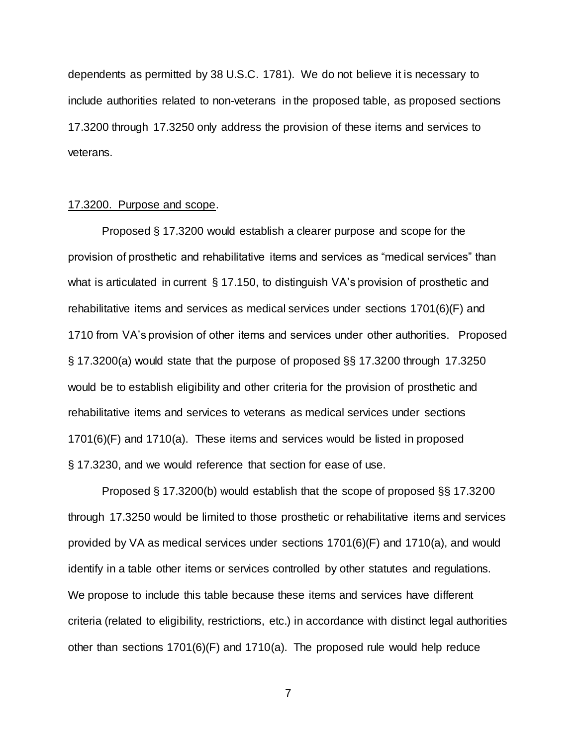dependents as permitted by 38 U.S.C. 1781). We do not believe it is necessary to include authorities related to non-veterans in the proposed table, as proposed sections 17.3200 through 17.3250 only address the provision of these items and services to veterans.

## 17.3200. Purpose and scope.

Proposed § 17.3200 would establish a clearer purpose and scope for the provision of prosthetic and rehabilitative items and services as "medical services" than what is articulated in current § 17.150, to distinguish VA's provision of prosthetic and rehabilitative items and services as medical services under sections 1701(6)(F) and 1710 from VA's provision of other items and services under other authorities. Proposed § 17.3200(a) would state that the purpose of proposed §§ 17.3200 through 17.3250 would be to establish eligibility and other criteria for the provision of prosthetic and rehabilitative items and services to veterans as medical services under sections 1701(6)(F) and 1710(a). These items and services would be listed in proposed § 17.3230, and we would reference that section for ease of use.

Proposed § 17.3200(b) would establish that the scope of proposed §§ 17.3200 through 17.3250 would be limited to those prosthetic or rehabilitative items and services provided by VA as medical services under sections 1701(6)(F) and 1710(a), and would identify in a table other items or services controlled by other statutes and regulations. We propose to include this table because these items and services have different criteria (related to eligibility, restrictions, etc.) in accordance with distinct legal authorities other than sections 1701(6)(F) and 1710(a). The proposed rule would help reduce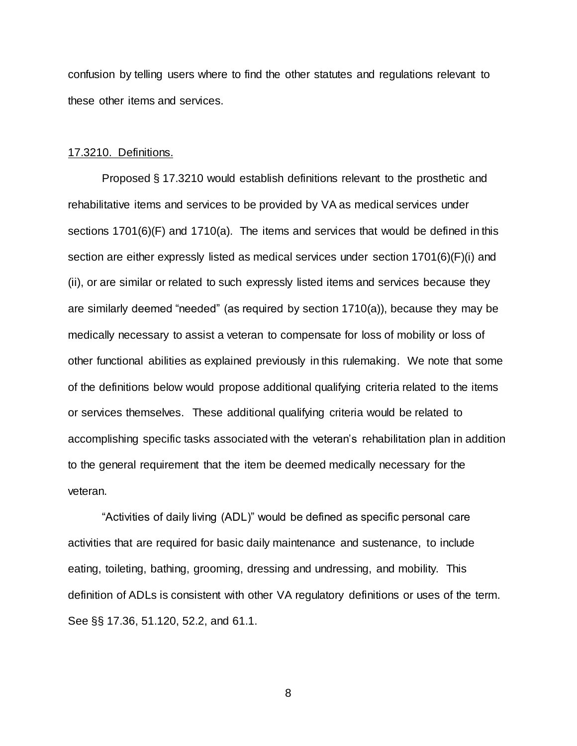confusion by telling users where to find the other statutes and regulations relevant to these other items and services.

#### 17.3210. Definitions.

Proposed § 17.3210 would establish definitions relevant to the prosthetic and rehabilitative items and services to be provided by VA as medical services under sections 1701(6)(F) and 1710(a). The items and services that would be defined in this section are either expressly listed as medical services under section 1701(6)(F)(i) and (ii), or are similar or related to such expressly listed items and services because they are similarly deemed "needed" (as required by section 1710(a)), because they may be medically necessary to assist a veteran to compensate for loss of mobility or loss of other functional abilities as explained previously in this rulemaking. We note that some of the definitions below would propose additional qualifying criteria related to the items or services themselves. These additional qualifying criteria would be related to accomplishing specific tasks associated with the veteran's rehabilitation plan in addition to the general requirement that the item be deemed medically necessary for the veteran.

"Activities of daily living (ADL)" would be defined as specific personal care activities that are required for basic daily maintenance and sustenance, to include eating, toileting, bathing, grooming, dressing and undressing, and mobility. This definition of ADLs is consistent with other VA regulatory definitions or uses of the term. See §§ 17.36, 51.120, 52.2, and 61.1.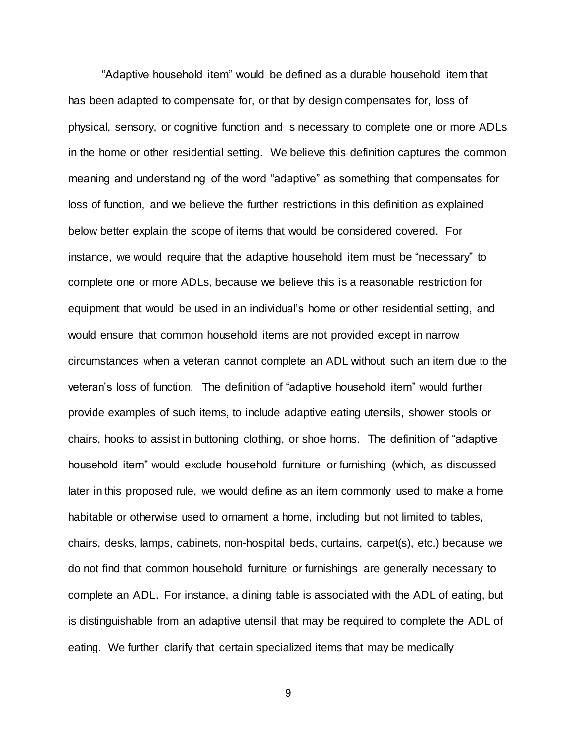"Adaptive household item" would be defined as a durable household item that has been adapted to compensate for, or that by design compensates for, loss of physical, sensory, or cognitive function and is necessary to complete one or more ADLs in the home or other residential setting. We believe this definition captures the common meaning and understanding of the word "adaptive" as something that compensates for loss of function, and we believe the further restrictions in this definition as explained below better explain the scope of items that would be considered covered. For instance, we would require that the adaptive household item must be "necessary" to complete one or more ADLs, because we believe this is a reasonable restriction for equipment that would be used in an individual's home or other residential setting, and would ensure that common household items are not provided except in narrow circumstances when a veteran cannot complete an ADL without such an item due to the veteran's loss of function. The definition of "adaptive household item" would further provide examples of such items, to include adaptive eating utensils, shower stools or chairs, hooks to assist in buttoning clothing, or shoe horns. The definition of "adaptive household item" would exclude household furniture or furnishing (which, as discussed later in this proposed rule, we would define as an item commonly used to make a home habitable or otherwise used to ornament a home, including but not limited to tables, chairs, desks, lamps, cabinets, non-hospital beds, curtains, carpet(s), etc.) because we do not find that common household furniture or furnishings are generally necessary to complete an ADL. For instance, a dining table is associated with the ADL of eating, but is distinguishable from an adaptive utensil that may be required to complete the ADL of eating. We further clarify that certain specialized items that may be medically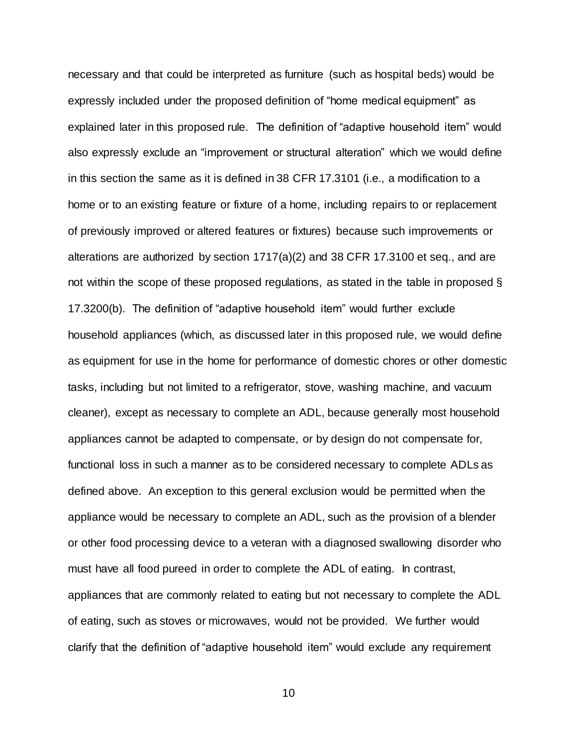necessary and that could be interpreted as furniture (such as hospital beds) would be expressly included under the proposed definition of "home medical equipment" as explained later in this proposed rule. The definition of "adaptive household item" would also expressly exclude an "improvement or structural alteration" which we would define in this section the same as it is defined in 38 CFR 17.3101 (i.e., a modification to a home or to an existing feature or fixture of a home, including repairs to or replacement of previously improved or altered features or fixtures) because such improvements or alterations are authorized by section  $1717(a)(2)$  and 38 CFR 17.3100 et seq., and are not within the scope of these proposed regulations, as stated in the table in proposed § 17.3200(b). The definition of "adaptive household item" would further exclude household appliances (which, as discussed later in this proposed rule, we would define as equipment for use in the home for performance of domestic chores or other domestic tasks, including but not limited to a refrigerator, stove, washing machine, and vacuum cleaner), except as necessary to complete an ADL, because generally most household appliances cannot be adapted to compensate, or by design do not compensate for, functional loss in such a manner as to be considered necessary to complete ADLs as defined above. An exception to this general exclusion would be permitted when the appliance would be necessary to complete an ADL, such as the provision of a blender or other food processing device to a veteran with a diagnosed swallowing disorder who must have all food pureed in order to complete the ADL of eating. In contrast, appliances that are commonly related to eating but not necessary to complete the ADL of eating, such as stoves or microwaves, would not be provided. We further would clarify that the definition of "adaptive household item" would exclude any requirement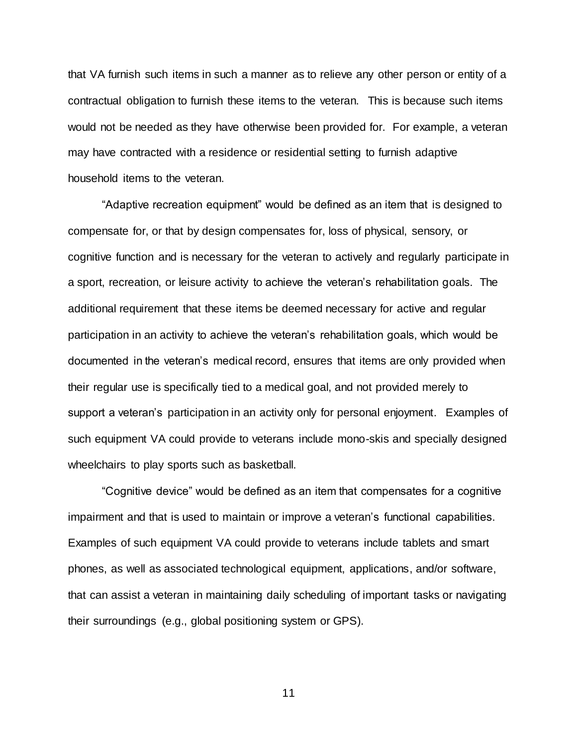that VA furnish such items in such a manner as to relieve any other person or entity of a contractual obligation to furnish these items to the veteran. This is because such items would not be needed as they have otherwise been provided for. For example, a veteran may have contracted with a residence or residential setting to furnish adaptive household items to the veteran.

"Adaptive recreation equipment" would be defined as an item that is designed to compensate for, or that by design compensates for, loss of physical, sensory, or cognitive function and is necessary for the veteran to actively and regularly participate in a sport, recreation, or leisure activity to achieve the veteran's rehabilitation goals. The additional requirement that these items be deemed necessary for active and regular participation in an activity to achieve the veteran's rehabilitation goals, which would be documented in the veteran's medical record, ensures that items are only provided when their regular use is specifically tied to a medical goal, and not provided merely to support a veteran's participation in an activity only for personal enjoyment. Examples of such equipment VA could provide to veterans include mono-skis and specially designed wheelchairs to play sports such as basketball.

"Cognitive device" would be defined as an item that compensates for a cognitive impairment and that is used to maintain or improve a veteran's functional capabilities. Examples of such equipment VA could provide to veterans include tablets and smart phones, as well as associated technological equipment, applications, and/or software, that can assist a veteran in maintaining daily scheduling of important tasks or navigating their surroundings (e.g., global positioning system or GPS).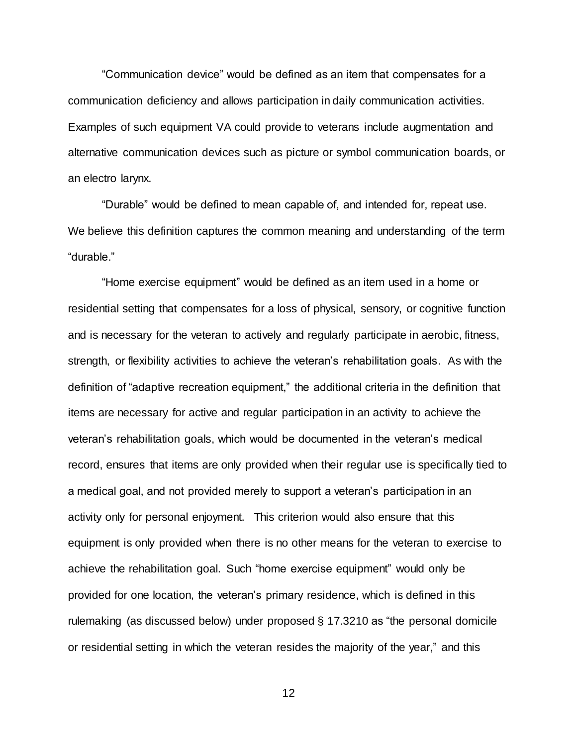"Communication device" would be defined as an item that compensates for a communication deficiency and allows participation in daily communication activities. Examples of such equipment VA could provide to veterans include augmentation and alternative communication devices such as picture or symbol communication boards, or an electro larynx.

"Durable" would be defined to mean capable of, and intended for, repeat use. We believe this definition captures the common meaning and understanding of the term "durable."

"Home exercise equipment" would be defined as an item used in a home or residential setting that compensates for a loss of physical, sensory, or cognitive function and is necessary for the veteran to actively and regularly participate in aerobic, fitness, strength, or flexibility activities to achieve the veteran's rehabilitation goals. As with the definition of "adaptive recreation equipment," the additional criteria in the definition that items are necessary for active and regular participation in an activity to achieve the veteran's rehabilitation goals, which would be documented in the veteran's medical record, ensures that items are only provided when their regular use is specifically tied to a medical goal, and not provided merely to support a veteran's participation in an activity only for personal enjoyment. This criterion would also ensure that this equipment is only provided when there is no other means for the veteran to exercise to achieve the rehabilitation goal. Such "home exercise equipment" would only be provided for one location, the veteran's primary residence, which is defined in this rulemaking (as discussed below) under proposed § 17.3210 as "the personal domicile or residential setting in which the veteran resides the majority of the year," and this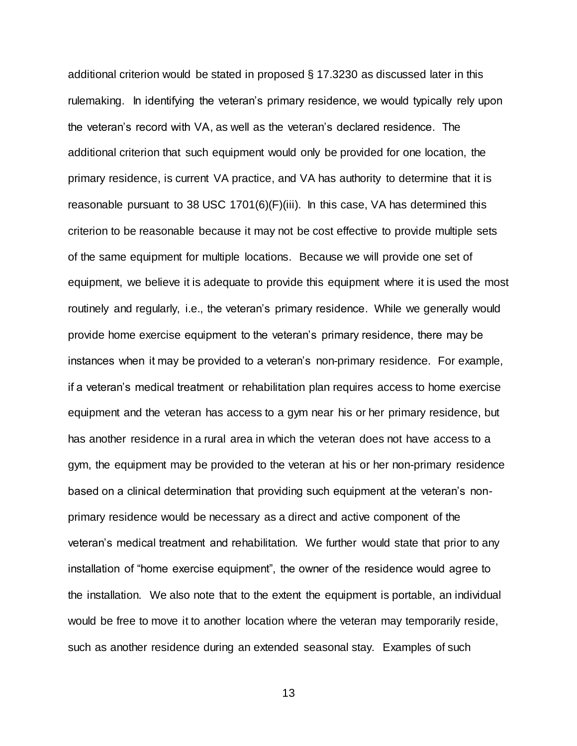additional criterion would be stated in proposed § 17.3230 as discussed later in this rulemaking. In identifying the veteran's primary residence, we would typically rely upon the veteran's record with VA, as well as the veteran's declared residence. The additional criterion that such equipment would only be provided for one location, the primary residence, is current VA practice, and VA has authority to determine that it is reasonable pursuant to 38 USC 1701(6)(F)(iii). In this case, VA has determined this criterion to be reasonable because it may not be cost effective to provide multiple sets of the same equipment for multiple locations. Because we will provide one set of equipment, we believe it is adequate to provide this equipment where it is used the most routinely and regularly, i.e., the veteran's primary residence. While we generally would provide home exercise equipment to the veteran's primary residence, there may be instances when it may be provided to a veteran's non-primary residence. For example, if a veteran's medical treatment or rehabilitation plan requires access to home exercise equipment and the veteran has access to a gym near his or her primary residence, but has another residence in a rural area in which the veteran does not have access to a gym, the equipment may be provided to the veteran at his or her non-primary residence based on a clinical determination that providing such equipment at the veteran's nonprimary residence would be necessary as a direct and active component of the veteran's medical treatment and rehabilitation. We further would state that prior to any installation of "home exercise equipment", the owner of the residence would agree to the installation. We also note that to the extent the equipment is portable, an individual would be free to move it to another location where the veteran may temporarily reside, such as another residence during an extended seasonal stay. Examples of such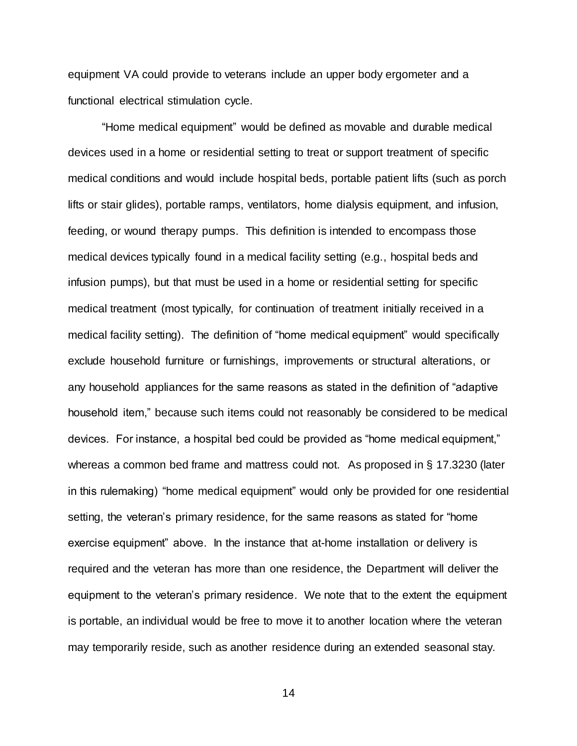equipment VA could provide to veterans include an upper body ergometer and a functional electrical stimulation cycle.

"Home medical equipment" would be defined as movable and durable medical devices used in a home or residential setting to treat or support treatment of specific medical conditions and would include hospital beds, portable patient lifts (such as porch lifts or stair glides), portable ramps, ventilators, home dialysis equipment, and infusion, feeding, or wound therapy pumps. This definition is intended to encompass those medical devices typically found in a medical facility setting (e.g., hospital beds and infusion pumps), but that must be used in a home or residential setting for specific medical treatment (most typically, for continuation of treatment initially received in a medical facility setting). The definition of "home medical equipment" would specifically exclude household furniture or furnishings, improvements or structural alterations, or any household appliances for the same reasons as stated in the definition of "adaptive household item," because such items could not reasonably be considered to be medical devices. For instance, a hospital bed could be provided as "home medical equipment," whereas a common bed frame and mattress could not. As proposed in § 17.3230 (later in this rulemaking) "home medical equipment" would only be provided for one residential setting, the veteran's primary residence, for the same reasons as stated for "home exercise equipment" above. In the instance that at-home installation or delivery is required and the veteran has more than one residence, the Department will deliver the equipment to the veteran's primary residence. We note that to the extent the equipment is portable, an individual would be free to move it to another location where the veteran may temporarily reside, such as another residence during an extended seasonal stay.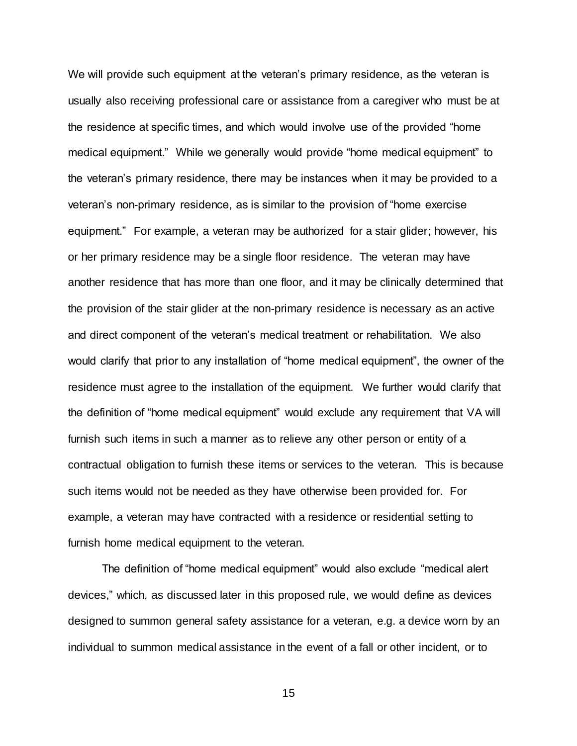We will provide such equipment at the veteran's primary residence, as the veteran is usually also receiving professional care or assistance from a caregiver who must be at the residence at specific times, and which would involve use of the provided "home medical equipment." While we generally would provide "home medical equipment" to the veteran's primary residence, there may be instances when it may be provided to a veteran's non-primary residence, as is similar to the provision of "home exercise equipment." For example, a veteran may be authorized for a stair glider; however, his or her primary residence may be a single floor residence. The veteran may have another residence that has more than one floor, and it may be clinically determined that the provision of the stair glider at the non-primary residence is necessary as an active and direct component of the veteran's medical treatment or rehabilitation. We also would clarify that prior to any installation of "home medical equipment", the owner of the residence must agree to the installation of the equipment. We further would clarify that the definition of "home medical equipment" would exclude any requirement that VA will furnish such items in such a manner as to relieve any other person or entity of a contractual obligation to furnish these items or services to the veteran. This is because such items would not be needed as they have otherwise been provided for. For example, a veteran may have contracted with a residence or residential setting to furnish home medical equipment to the veteran.

The definition of "home medical equipment" would also exclude "medical alert devices," which, as discussed later in this proposed rule, we would define as devices designed to summon general safety assistance for a veteran, e.g. a device worn by an individual to summon medical assistance in the event of a fall or other incident, or to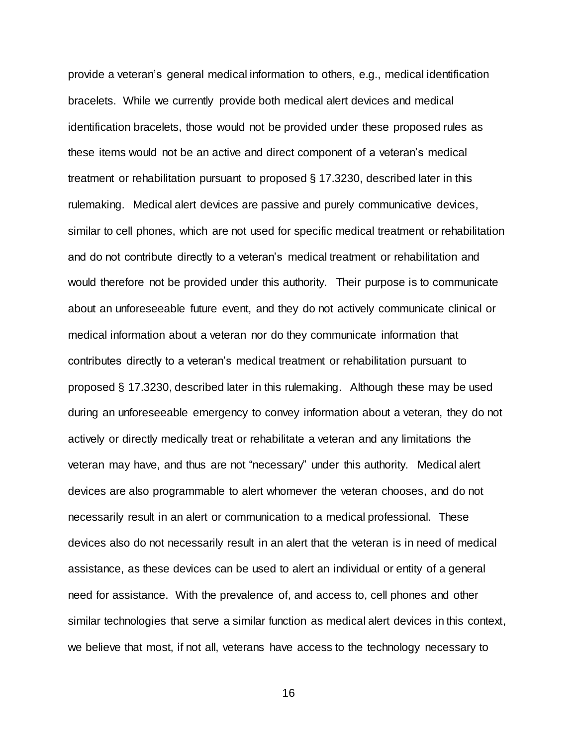provide a veteran's general medical information to others, e.g., medical identification bracelets. While we currently provide both medical alert devices and medical identification bracelets, those would not be provided under these proposed rules as these items would not be an active and direct component of a veteran's medical treatment or rehabilitation pursuant to proposed § 17.3230, described later in this rulemaking. Medical alert devices are passive and purely communicative devices, similar to cell phones, which are not used for specific medical treatment or rehabilitation and do not contribute directly to a veteran's medical treatment or rehabilitation and would therefore not be provided under this authority. Their purpose is to communicate about an unforeseeable future event, and they do not actively communicate clinical or medical information about a veteran nor do they communicate information that contributes directly to a veteran's medical treatment or rehabilitation pursuant to proposed § 17.3230, described later in this rulemaking. Although these may be used during an unforeseeable emergency to convey information about a veteran, they do not actively or directly medically treat or rehabilitate a veteran and any limitations the veteran may have, and thus are not "necessary" under this authority. Medical alert devices are also programmable to alert whomever the veteran chooses, and do not necessarily result in an alert or communication to a medical professional. These devices also do not necessarily result in an alert that the veteran is in need of medical assistance, as these devices can be used to alert an individual or entity of a general need for assistance. With the prevalence of, and access to, cell phones and other similar technologies that serve a similar function as medical alert devices in this context, we believe that most, if not all, veterans have access to the technology necessary to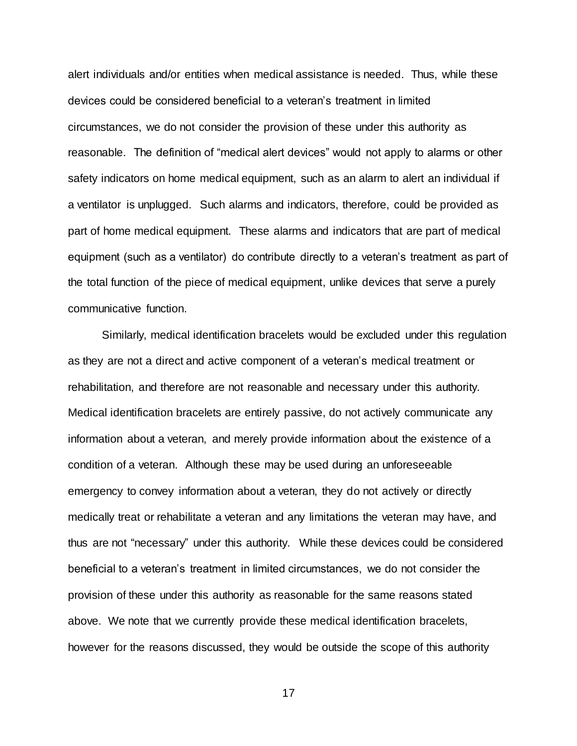alert individuals and/or entities when medical assistance is needed. Thus, while these devices could be considered beneficial to a veteran's treatment in limited circumstances, we do not consider the provision of these under this authority as reasonable. The definition of "medical alert devices" would not apply to alarms or other safety indicators on home medical equipment, such as an alarm to alert an individual if a ventilator is unplugged. Such alarms and indicators, therefore, could be provided as part of home medical equipment. These alarms and indicators that are part of medical equipment (such as a ventilator) do contribute directly to a veteran's treatment as part of the total function of the piece of medical equipment, unlike devices that serve a purely communicative function.

Similarly, medical identification bracelets would be excluded under this regulation as they are not a direct and active component of a veteran's medical treatment or rehabilitation, and therefore are not reasonable and necessary under this authority. Medical identification bracelets are entirely passive, do not actively communicate any information about a veteran, and merely provide information about the existence of a condition of a veteran. Although these may be used during an unforeseeable emergency to convey information about a veteran, they do not actively or directly medically treat or rehabilitate a veteran and any limitations the veteran may have, and thus are not "necessary" under this authority. While these devices could be considered beneficial to a veteran's treatment in limited circumstances, we do not consider the provision of these under this authority as reasonable for the same reasons stated above. We note that we currently provide these medical identification bracelets, however for the reasons discussed, they would be outside the scope of this authority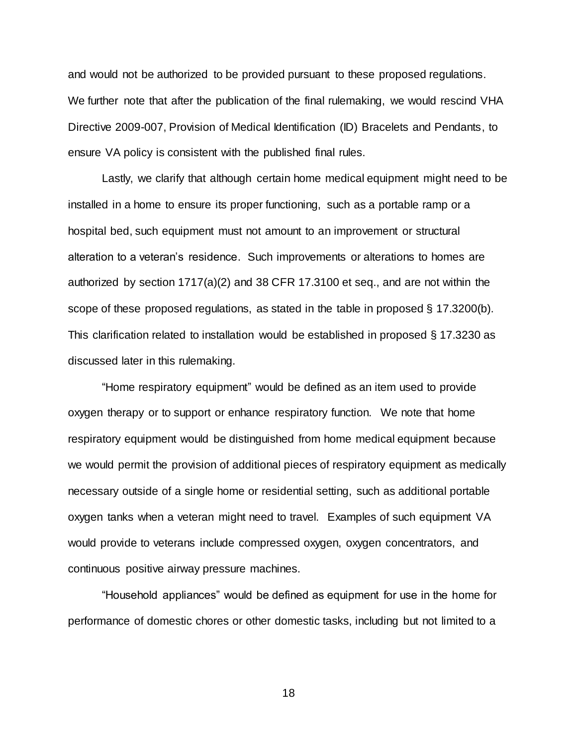and would not be authorized to be provided pursuant to these proposed regulations. We further note that after the publication of the final rulemaking, we would rescind VHA Directive 2009-007, Provision of Medical Identification (ID) Bracelets and Pendants, to ensure VA policy is consistent with the published final rules.

Lastly, we clarify that although certain home medical equipment might need to be installed in a home to ensure its proper functioning, such as a portable ramp or a hospital bed, such equipment must not amount to an improvement or structural alteration to a veteran's residence. Such improvements or alterations to homes are authorized by section 1717(a)(2) and 38 CFR 17.3100 et seq., and are not within the scope of these proposed regulations, as stated in the table in proposed § 17.3200(b). This clarification related to installation would be established in proposed § 17.3230 as discussed later in this rulemaking.

"Home respiratory equipment" would be defined as an item used to provide oxygen therapy or to support or enhance respiratory function. We note that home respiratory equipment would be distinguished from home medical equipment because we would permit the provision of additional pieces of respiratory equipment as medically necessary outside of a single home or residential setting, such as additional portable oxygen tanks when a veteran might need to travel. Examples of such equipment VA would provide to veterans include compressed oxygen, oxygen concentrators, and continuous positive airway pressure machines.

"Household appliances" would be defined as equipment for use in the home for performance of domestic chores or other domestic tasks, including but not limited to a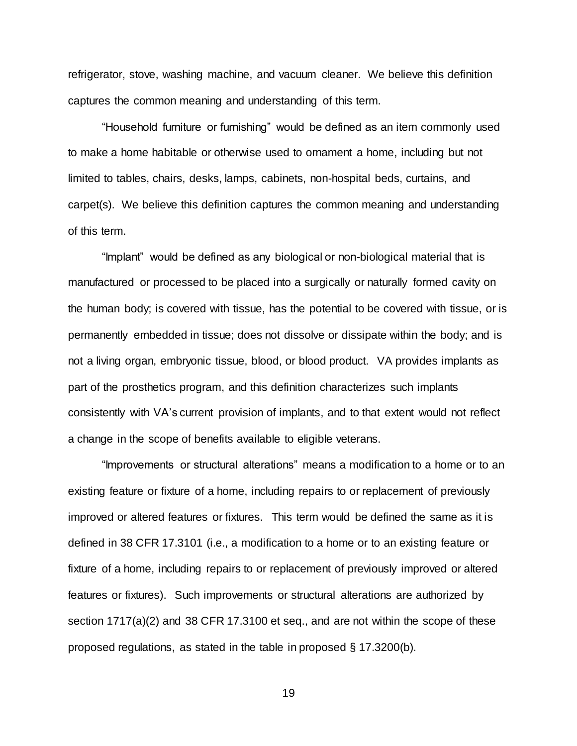refrigerator, stove, washing machine, and vacuum cleaner. We believe this definition captures the common meaning and understanding of this term.

"Household furniture or furnishing" would be defined as an item commonly used to make a home habitable or otherwise used to ornament a home, including but not limited to tables, chairs, desks, lamps, cabinets, non-hospital beds, curtains, and carpet(s). We believe this definition captures the common meaning and understanding of this term.

"Implant" would be defined as any biological or non-biological material that is manufactured or processed to be placed into a surgically or naturally formed cavity on the human body; is covered with tissue, has the potential to be covered with tissue, or is permanently embedded in tissue; does not dissolve or dissipate within the body; and is not a living organ, embryonic tissue, blood, or blood product. VA provides implants as part of the prosthetics program, and this definition characterizes such implants consistently with VA's current provision of implants, and to that extent would not reflect a change in the scope of benefits available to eligible veterans.

"Improvements or structural alterations" means a modification to a home or to an existing feature or fixture of a home, including repairs to or replacement of previously improved or altered features or fixtures. This term would be defined the same as it is defined in 38 CFR 17.3101 (i.e., a modification to a home or to an existing feature or fixture of a home, including repairs to or replacement of previously improved or altered features or fixtures). Such improvements or structural alterations are authorized by section 1717(a)(2) and 38 CFR 17.3100 et seq., and are not within the scope of these proposed regulations, as stated in the table in proposed § 17.3200(b).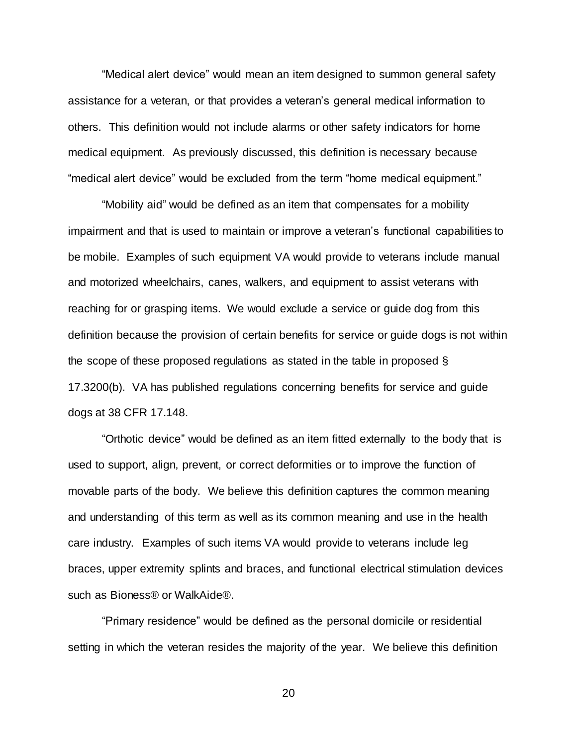"Medical alert device" would mean an item designed to summon general safety assistance for a veteran, or that provides a veteran's general medical information to others. This definition would not include alarms or other safety indicators for home medical equipment. As previously discussed, this definition is necessary because "medical alert device" would be excluded from the term "home medical equipment."

"Mobility aid" would be defined as an item that compensates for a mobility impairment and that is used to maintain or improve a veteran's functional capabilities to be mobile. Examples of such equipment VA would provide to veterans include manual and motorized wheelchairs, canes, walkers, and equipment to assist veterans with reaching for or grasping items. We would exclude a service or guide dog from this definition because the provision of certain benefits for service or guide dogs is not within the scope of these proposed regulations as stated in the table in proposed § 17.3200(b). VA has published regulations concerning benefits for service and guide dogs at 38 CFR 17.148.

"Orthotic device" would be defined as an item fitted externally to the body that is used to support, align, prevent, or correct deformities or to improve the function of movable parts of the body. We believe this definition captures the common meaning and understanding of this term as well as its common meaning and use in the health care industry. Examples of such items VA would provide to veterans include leg braces, upper extremity splints and braces, and functional electrical stimulation devices such as Bioness® or WalkAide®.

"Primary residence" would be defined as the personal domicile or residential setting in which the veteran resides the majority of the year. We believe this definition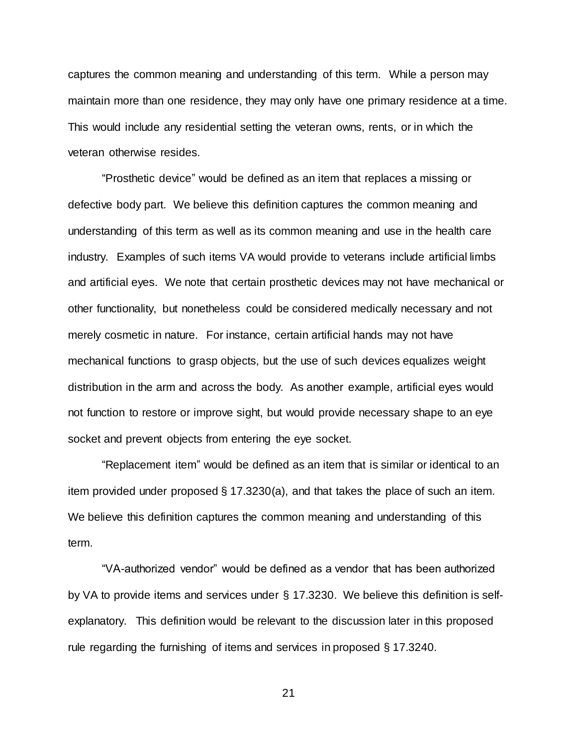captures the common meaning and understanding of this term. While a person may maintain more than one residence, they may only have one primary residence at a time. This would include any residential setting the veteran owns, rents, or in which the veteran otherwise resides.

"Prosthetic device" would be defined as an item that replaces a missing or defective body part. We believe this definition captures the common meaning and understanding of this term as well as its common meaning and use in the health care industry. Examples of such items VA would provide to veterans include artificial limbs and artificial eyes. We note that certain prosthetic devices may not have mechanical or other functionality, but nonetheless could be considered medically necessary and not merely cosmetic in nature. For instance, certain artificial hands may not have mechanical functions to grasp objects, but the use of such devices equalizes weight distribution in the arm and across the body. As another example, artificial eyes would not function to restore or improve sight, but would provide necessary shape to an eye socket and prevent objects from entering the eye socket.

"Replacement item" would be defined as an item that is similar or identical to an item provided under proposed § 17.3230(a), and that takes the place of such an item. We believe this definition captures the common meaning and understanding of this term.

"VA-authorized vendor" would be defined as a vendor that has been authorized by VA to provide items and services under § 17.3230. We believe this definition is selfexplanatory. This definition would be relevant to the discussion later in this proposed rule regarding the furnishing of items and services in proposed § 17.3240.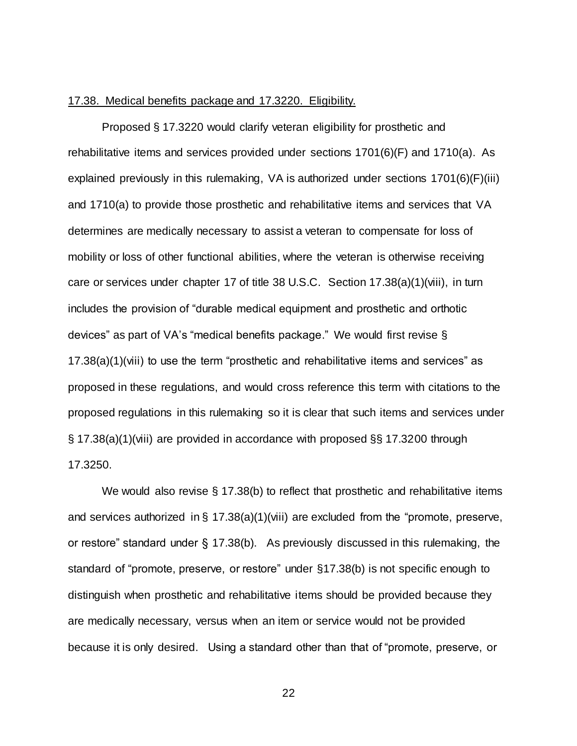#### 17.38. Medical benefits package and 17.3220. Eligibility.

Proposed § 17.3220 would clarify veteran eligibility for prosthetic and rehabilitative items and services provided under sections 1701(6)(F) and 1710(a). As explained previously in this rulemaking, VA is authorized under sections 1701(6)(F)(iii) and 1710(a) to provide those prosthetic and rehabilitative items and services that VA determines are medically necessary to assist a veteran to compensate for loss of mobility or loss of other functional abilities, where the veteran is otherwise receiving care or services under chapter 17 of title 38 U.S.C. Section 17.38(a)(1)(viii), in turn includes the provision of "durable medical equipment and prosthetic and orthotic devices" as part of VA's "medical benefits package." We would first revise § 17.38(a)(1)(viii) to use the term "prosthetic and rehabilitative items and services" as proposed in these regulations, and would cross reference this term with citations to the proposed regulations in this rulemaking so it is clear that such items and services under § 17.38(a)(1)(viii) are provided in accordance with proposed §§ 17.3200 through 17.3250.

We would also revise § 17.38(b) to reflect that prosthetic and rehabilitative items and services authorized in § 17.38(a)(1)(viii) are excluded from the "promote, preserve, or restore" standard under § 17.38(b). As previously discussed in this rulemaking, the standard of "promote, preserve, or restore" under §17.38(b) is not specific enough to distinguish when prosthetic and rehabilitative items should be provided because they are medically necessary, versus when an item or service would not be provided because it is only desired. Using a standard other than that of "promote, preserve, or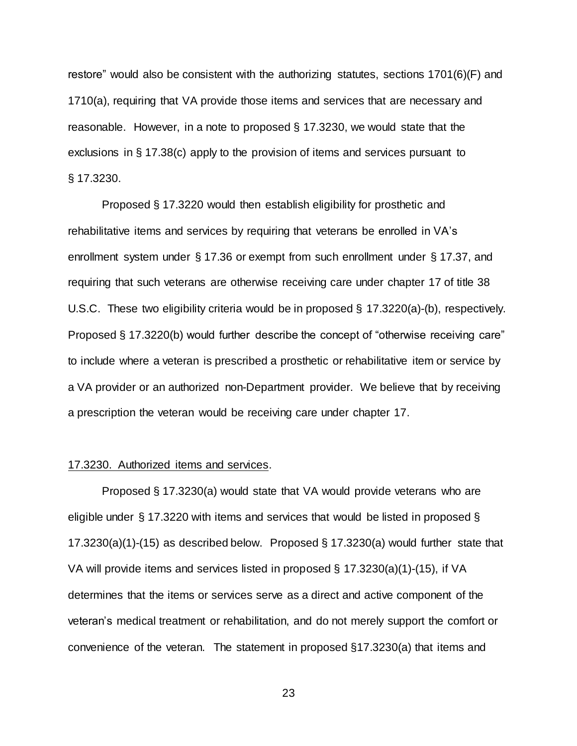restore" would also be consistent with the authorizing statutes, sections 1701(6)(F) and 1710(a), requiring that VA provide those items and services that are necessary and reasonable. However, in a note to proposed § 17.3230, we would state that the exclusions in § 17.38(c) apply to the provision of items and services pursuant to § 17.3230.

Proposed § 17.3220 would then establish eligibility for prosthetic and rehabilitative items and services by requiring that veterans be enrolled in VA's enrollment system under § 17.36 or exempt from such enrollment under § 17.37, and requiring that such veterans are otherwise receiving care under chapter 17 of title 38 U.S.C. These two eligibility criteria would be in proposed § 17.3220(a)-(b), respectively. Proposed § 17.3220(b) would further describe the concept of "otherwise receiving care" to include where a veteran is prescribed a prosthetic or rehabilitative item or service by a VA provider or an authorized non-Department provider. We believe that by receiving a prescription the veteran would be receiving care under chapter 17.

# 17.3230. Authorized items and services.

Proposed § 17.3230(a) would state that VA would provide veterans who are eligible under § 17.3220 with items and services that would be listed in proposed § 17.3230(a)(1)-(15) as described below. Proposed § 17.3230(a) would further state that VA will provide items and services listed in proposed § 17.3230(a)(1)-(15), if VA determines that the items or services serve as a direct and active component of the veteran's medical treatment or rehabilitation, and do not merely support the comfort or convenience of the veteran. The statement in proposed §17.3230(a) that items and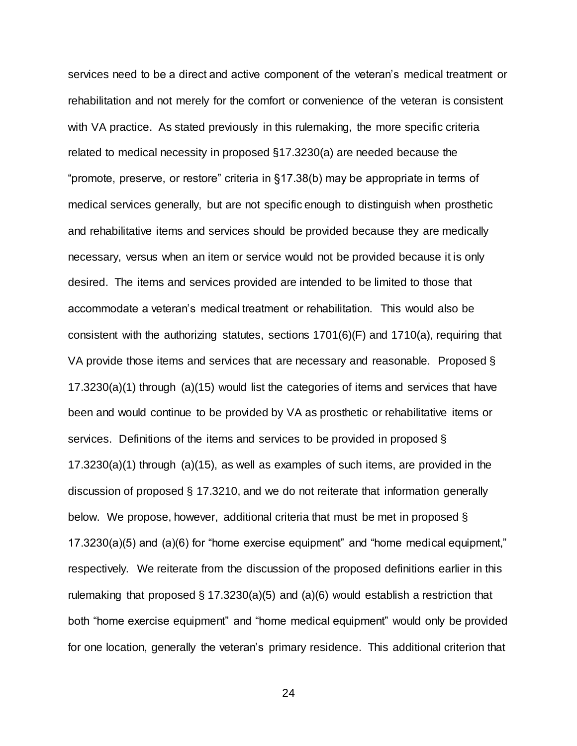services need to be a direct and active component of the veteran's medical treatment or rehabilitation and not merely for the comfort or convenience of the veteran is consistent with VA practice. As stated previously in this rulemaking, the more specific criteria related to medical necessity in proposed §17.3230(a) are needed because the "promote, preserve, or restore" criteria in §17.38(b) may be appropriate in terms of medical services generally, but are not specific enough to distinguish when prosthetic and rehabilitative items and services should be provided because they are medically necessary, versus when an item or service would not be provided because it is only desired. The items and services provided are intended to be limited to those that accommodate a veteran's medical treatment or rehabilitation. This would also be consistent with the authorizing statutes, sections  $1701(6)(F)$  and  $1710(a)$ , requiring that VA provide those items and services that are necessary and reasonable. Proposed § 17.3230(a)(1) through (a)(15) would list the categories of items and services that have been and would continue to be provided by VA as prosthetic or rehabilitative items or services. Definitions of the items and services to be provided in proposed § 17.3230(a)(1) through (a)(15), as well as examples of such items, are provided in the discussion of proposed § 17.3210, and we do not reiterate that information generally below. We propose, however, additional criteria that must be met in proposed § 17.3230(a)(5) and (a)(6) for "home exercise equipment" and "home medical equipment," respectively. We reiterate from the discussion of the proposed definitions earlier in this rulemaking that proposed  $\S$  17.3230(a)(5) and (a)(6) would establish a restriction that both "home exercise equipment" and "home medical equipment" would only be provided for one location, generally the veteran's primary residence. This additional criterion that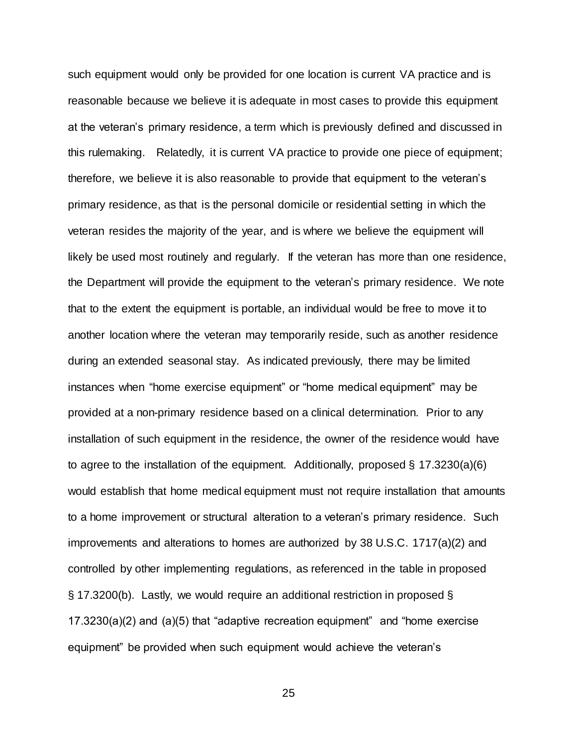such equipment would only be provided for one location is current VA practice and is reasonable because we believe it is adequate in most cases to provide this equipment at the veteran's primary residence, a term which is previously defined and discussed in this rulemaking. Relatedly, it is current VA practice to provide one piece of equipment; therefore, we believe it is also reasonable to provide that equipment to the veteran's primary residence, as that is the personal domicile or residential setting in which the veteran resides the majority of the year, and is where we believe the equipment will likely be used most routinely and regularly. If the veteran has more than one residence, the Department will provide the equipment to the veteran's primary residence. We note that to the extent the equipment is portable, an individual would be free to move it to another location where the veteran may temporarily reside, such as another residence during an extended seasonal stay. As indicated previously, there may be limited instances when "home exercise equipment" or "home medical equipment" may be provided at a non-primary residence based on a clinical determination. Prior to any installation of such equipment in the residence, the owner of the residence would have to agree to the installation of the equipment. Additionally, proposed § 17.3230(a)(6) would establish that home medical equipment must not require installation that amounts to a home improvement or structural alteration to a veteran's primary residence. Such improvements and alterations to homes are authorized by 38 U.S.C. 1717(a)(2) and controlled by other implementing regulations, as referenced in the table in proposed § 17.3200(b). Lastly, we would require an additional restriction in proposed § 17.3230(a)(2) and (a)(5) that "adaptive recreation equipment" and "home exercise equipment" be provided when such equipment would achieve the veteran's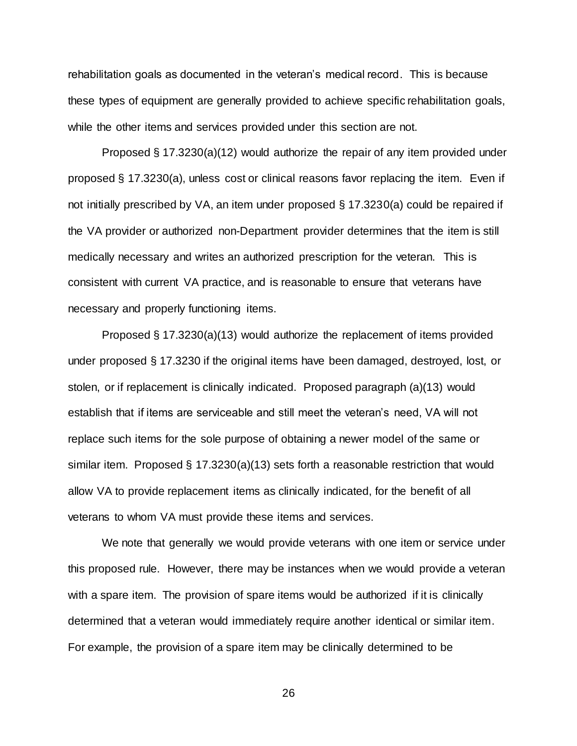rehabilitation goals as documented in the veteran's medical record. This is because these types of equipment are generally provided to achieve specific rehabilitation goals, while the other items and services provided under this section are not.

Proposed § 17.3230(a)(12) would authorize the repair of any item provided under proposed § 17.3230(a), unless cost or clinical reasons favor replacing the item. Even if not initially prescribed by VA, an item under proposed § 17.3230(a) could be repaired if the VA provider or authorized non-Department provider determines that the item is still medically necessary and writes an authorized prescription for the veteran. This is consistent with current VA practice, and is reasonable to ensure that veterans have necessary and properly functioning items.

Proposed § 17.3230(a)(13) would authorize the replacement of items provided under proposed § 17.3230 if the original items have been damaged, destroyed, lost, or stolen, or if replacement is clinically indicated. Proposed paragraph (a)(13) would establish that if items are serviceable and still meet the veteran's need, VA will not replace such items for the sole purpose of obtaining a newer model of the same or similar item. Proposed § 17.3230(a)(13) sets forth a reasonable restriction that would allow VA to provide replacement items as clinically indicated, for the benefit of all veterans to whom VA must provide these items and services.

We note that generally we would provide veterans with one item or service under this proposed rule. However, there may be instances when we would provide a veteran with a spare item. The provision of spare items would be authorized if it is clinically determined that a veteran would immediately require another identical or similar item. For example, the provision of a spare item may be clinically determined to be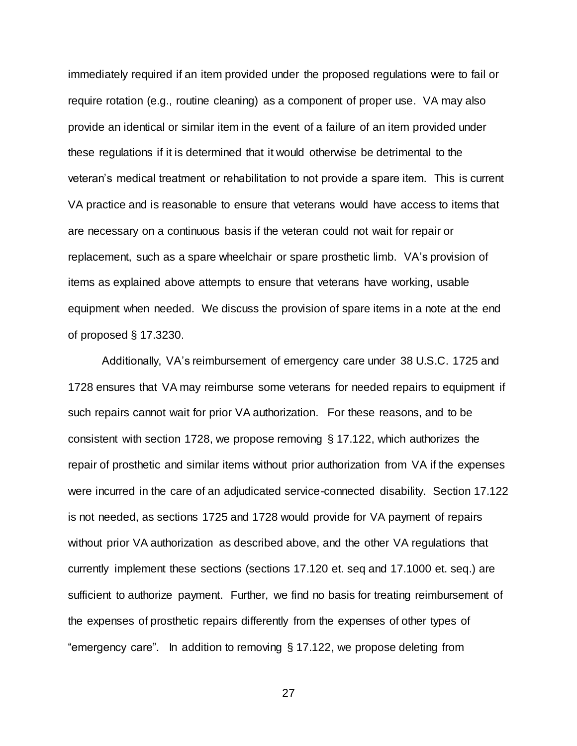immediately required if an item provided under the proposed regulations were to fail or require rotation (e.g., routine cleaning) as a component of proper use. VA may also provide an identical or similar item in the event of a failure of an item provided under these regulations if it is determined that it would otherwise be detrimental to the veteran's medical treatment or rehabilitation to not provide a spare item. This is current VA practice and is reasonable to ensure that veterans would have access to items that are necessary on a continuous basis if the veteran could not wait for repair or replacement, such as a spare wheelchair or spare prosthetic limb. VA's provision of items as explained above attempts to ensure that veterans have working, usable equipment when needed. We discuss the provision of spare items in a note at the end of proposed § 17.3230.

Additionally, VA's reimbursement of emergency care under 38 U.S.C. 1725 and 1728 ensures that VA may reimburse some veterans for needed repairs to equipment if such repairs cannot wait for prior VA authorization. For these reasons, and to be consistent with section 1728, we propose removing § 17.122, which authorizes the repair of prosthetic and similar items without prior authorization from VA if the expenses were incurred in the care of an adjudicated service-connected disability. Section 17.122 is not needed, as sections 1725 and 1728 would provide for VA payment of repairs without prior VA authorization as described above, and the other VA regulations that currently implement these sections (sections 17.120 et. seq and 17.1000 et. seq.) are sufficient to authorize payment. Further, we find no basis for treating reimbursement of the expenses of prosthetic repairs differently from the expenses of other types of "emergency care". In addition to removing § 17.122, we propose deleting from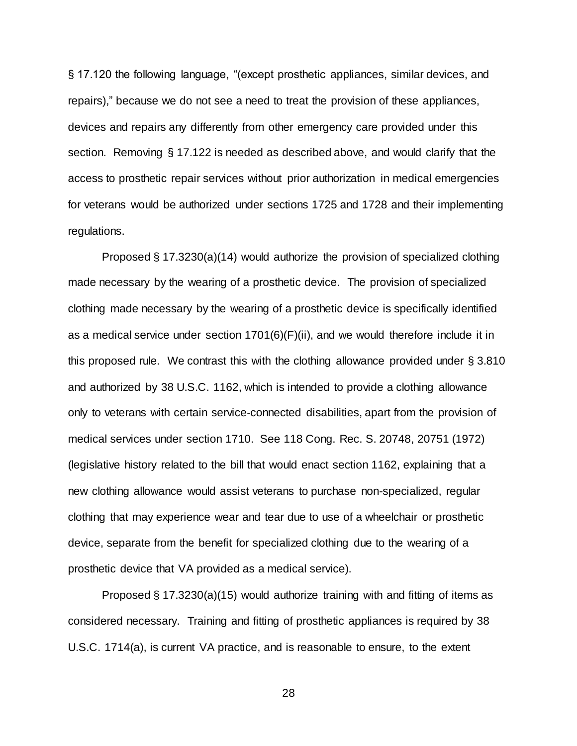§ 17.120 the following language, "(except prosthetic appliances, similar devices, and repairs)," because we do not see a need to treat the provision of these appliances, devices and repairs any differently from other emergency care provided under this section. Removing § 17.122 is needed as described above, and would clarify that the access to prosthetic repair services without prior authorization in medical emergencies for veterans would be authorized under sections 1725 and 1728 and their implementing regulations.

Proposed § 17.3230(a)(14) would authorize the provision of specialized clothing made necessary by the wearing of a prosthetic device. The provision of specialized clothing made necessary by the wearing of a prosthetic device is specifically identified as a medical service under section 1701(6)(F)(ii), and we would therefore include it in this proposed rule. We contrast this with the clothing allowance provided under § 3.810 and authorized by 38 U.S.C. 1162, which is intended to provide a clothing allowance only to veterans with certain service-connected disabilities, apart from the provision of medical services under section 1710. See 118 Cong. Rec. S. 20748, 20751 (1972) (legislative history related to the bill that would enact section 1162, explaining that a new clothing allowance would assist veterans to purchase non-specialized, regular clothing that may experience wear and tear due to use of a wheelchair or prosthetic device, separate from the benefit for specialized clothing due to the wearing of a prosthetic device that VA provided as a medical service).

Proposed § 17.3230(a)(15) would authorize training with and fitting of items as considered necessary. Training and fitting of prosthetic appliances is required by 38 U.S.C. 1714(a), is current VA practice, and is reasonable to ensure, to the extent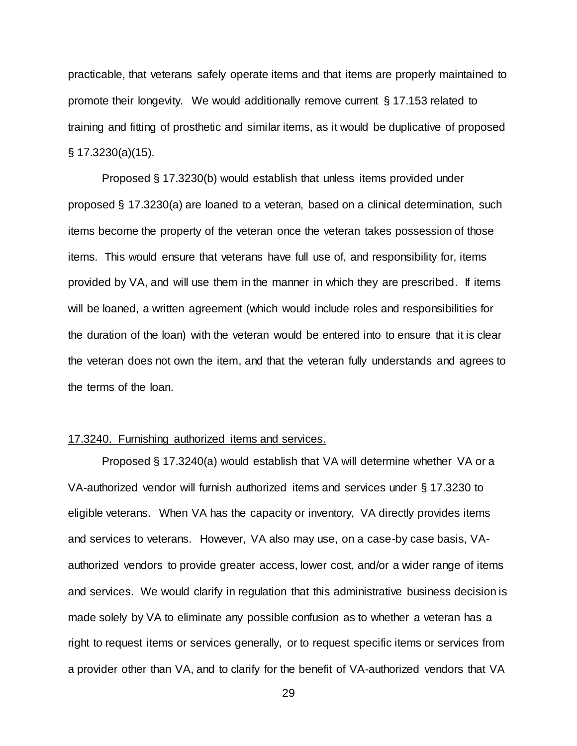practicable, that veterans safely operate items and that items are properly maintained to promote their longevity. We would additionally remove current § 17.153 related to training and fitting of prosthetic and similar items, as it would be duplicative of proposed § 17.3230(a)(15).

Proposed § 17.3230(b) would establish that unless items provided under proposed § 17.3230(a) are loaned to a veteran, based on a clinical determination, such items become the property of the veteran once the veteran takes possession of those items. This would ensure that veterans have full use of, and responsibility for, items provided by VA, and will use them in the manner in which they are prescribed. If items will be loaned, a written agreement (which would include roles and responsibilities for the duration of the loan) with the veteran would be entered into to ensure that it is clear the veteran does not own the item, and that the veteran fully understands and agrees to the terms of the loan.

### 17.3240. Furnishing authorized items and services.

Proposed § 17.3240(a) would establish that VA will determine whether VA or a VA-authorized vendor will furnish authorized items and services under § 17.3230 to eligible veterans. When VA has the capacity or inventory, VA directly provides items and services to veterans. However, VA also may use, on a case-by case basis, VAauthorized vendors to provide greater access, lower cost, and/or a wider range of items and services. We would clarify in regulation that this administrative business decision is made solely by VA to eliminate any possible confusion as to whether a veteran has a right to request items or services generally, or to request specific items or services from a provider other than VA, and to clarify for the benefit of VA-authorized vendors that VA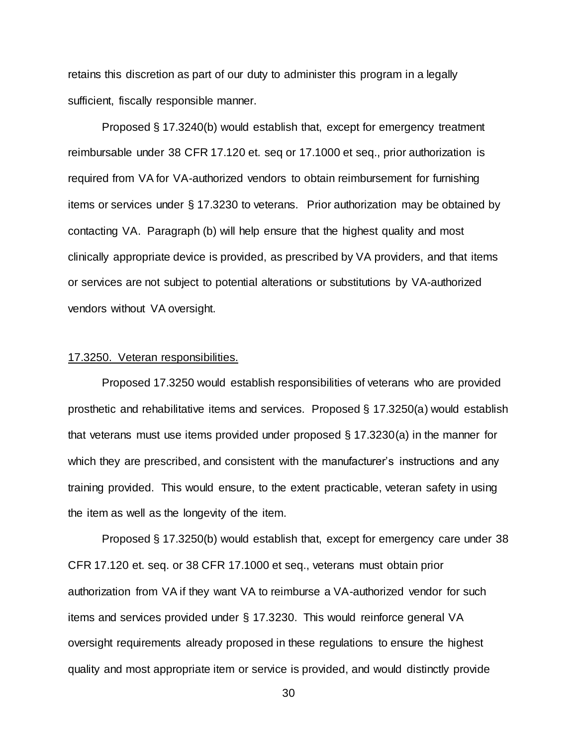retains this discretion as part of our duty to administer this program in a legally sufficient, fiscally responsible manner.

Proposed § 17.3240(b) would establish that, except for emergency treatment reimbursable under 38 CFR 17.120 et. seq or 17.1000 et seq., prior authorization is required from VA for VA-authorized vendors to obtain reimbursement for furnishing items or services under § 17.3230 to veterans. Prior authorization may be obtained by contacting VA. Paragraph (b) will help ensure that the highest quality and most clinically appropriate device is provided, as prescribed by VA providers, and that items or services are not subject to potential alterations or substitutions by VA-authorized vendors without VA oversight.

# 17.3250. Veteran responsibilities.

Proposed 17.3250 would establish responsibilities of veterans who are provided prosthetic and rehabilitative items and services. Proposed § 17.3250(a) would establish that veterans must use items provided under proposed § 17.3230(a) in the manner for which they are prescribed, and consistent with the manufacturer's instructions and any training provided. This would ensure, to the extent practicable, veteran safety in using the item as well as the longevity of the item.

Proposed § 17.3250(b) would establish that, except for emergency care under 38 CFR 17.120 et. seq. or 38 CFR 17.1000 et seq., veterans must obtain prior authorization from VA if they want VA to reimburse a VA-authorized vendor for such items and services provided under § 17.3230. This would reinforce general VA oversight requirements already proposed in these regulations to ensure the highest quality and most appropriate item or service is provided, and would distinctly provide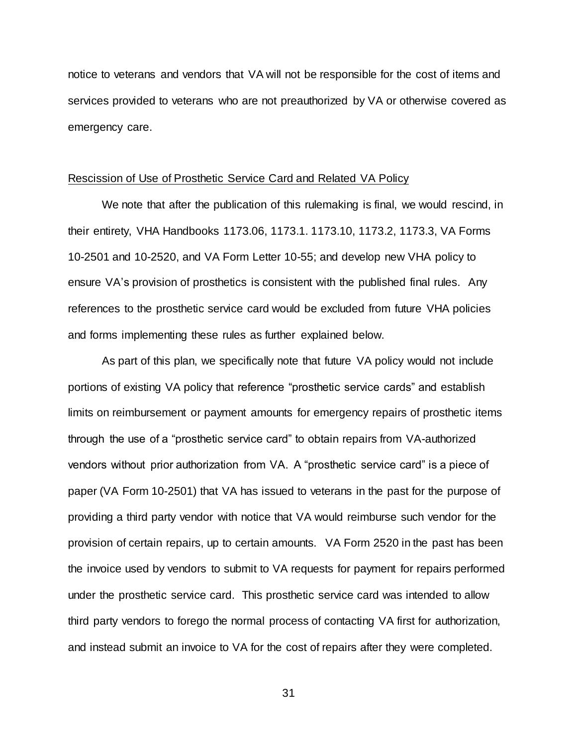notice to veterans and vendors that VA will not be responsible for the cost of items and services provided to veterans who are not preauthorized by VA or otherwise covered as emergency care.

### Rescission of Use of Prosthetic Service Card and Related VA Policy

We note that after the publication of this rulemaking is final, we would rescind, in their entirety, VHA Handbooks 1173.06, 1173.1. 1173.10, 1173.2, 1173.3, VA Forms 10-2501 and 10-2520, and VA Form Letter 10-55; and develop new VHA policy to ensure VA's provision of prosthetics is consistent with the published final rules. Any references to the prosthetic service card would be excluded from future VHA policies and forms implementing these rules as further explained below.

As part of this plan, we specifically note that future VA policy would not include portions of existing VA policy that reference "prosthetic service cards" and establish limits on reimbursement or payment amounts for emergency repairs of prosthetic items through the use of a "prosthetic service card" to obtain repairs from VA-authorized vendors without prior authorization from VA. A "prosthetic service card" is a piece of paper (VA Form 10-2501) that VA has issued to veterans in the past for the purpose of providing a third party vendor with notice that VA would reimburse such vendor for the provision of certain repairs, up to certain amounts. VA Form 2520 in the past has been the invoice used by vendors to submit to VA requests for payment for repairs performed under the prosthetic service card. This prosthetic service card was intended to allow third party vendors to forego the normal process of contacting VA first for authorization, and instead submit an invoice to VA for the cost of repairs after they were completed.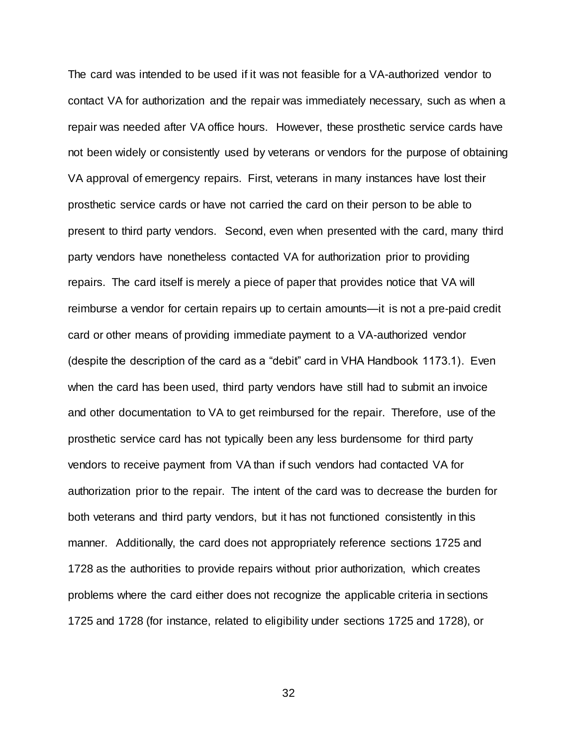The card was intended to be used if it was not feasible for a VA-authorized vendor to contact VA for authorization and the repair was immediately necessary, such as when a repair was needed after VA office hours. However, these prosthetic service cards have not been widely or consistently used by veterans or vendors for the purpose of obtaining VA approval of emergency repairs. First, veterans in many instances have lost their prosthetic service cards or have not carried the card on their person to be able to present to third party vendors. Second, even when presented with the card, many third party vendors have nonetheless contacted VA for authorization prior to providing repairs. The card itself is merely a piece of paper that provides notice that VA will reimburse a vendor for certain repairs up to certain amounts—it is not a pre-paid credit card or other means of providing immediate payment to a VA-authorized vendor (despite the description of the card as a "debit" card in VHA Handbook 1173.1). Even when the card has been used, third party vendors have still had to submit an invoice and other documentation to VA to get reimbursed for the repair. Therefore, use of the prosthetic service card has not typically been any less burdensome for third party vendors to receive payment from VA than if such vendors had contacted VA for authorization prior to the repair. The intent of the card was to decrease the burden for both veterans and third party vendors, but it has not functioned consistently in this manner. Additionally, the card does not appropriately reference sections 1725 and 1728 as the authorities to provide repairs without prior authorization, which creates problems where the card either does not recognize the applicable criteria in sections 1725 and 1728 (for instance, related to eligibility under sections 1725 and 1728), or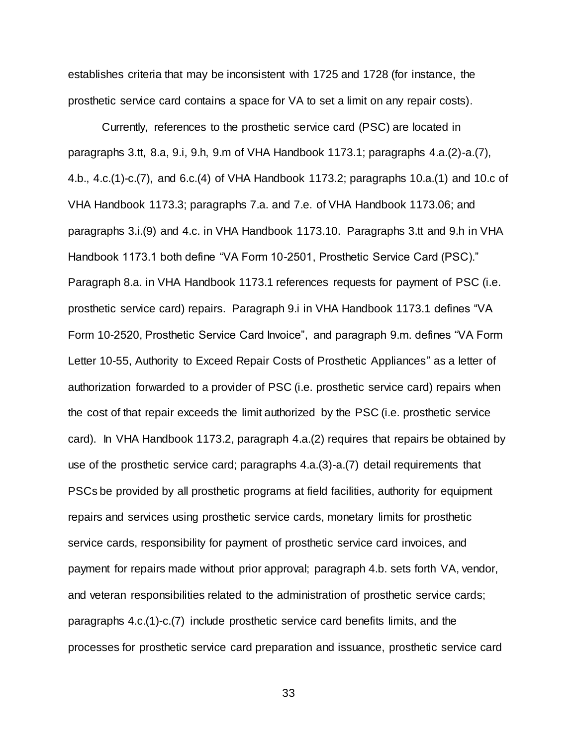establishes criteria that may be inconsistent with 1725 and 1728 (for instance, the prosthetic service card contains a space for VA to set a limit on any repair costs).

Currently, references to the prosthetic service card (PSC) are located in paragraphs 3.tt, 8.a, 9.i, 9.h, 9.m of VHA Handbook 1173.1; paragraphs 4.a.(2)-a.(7), 4.b., 4.c.(1)-c.(7), and 6.c.(4) of VHA Handbook 1173.2; paragraphs 10.a.(1) and 10.c of VHA Handbook 1173.3; paragraphs 7.a. and 7.e. of VHA Handbook 1173.06; and paragraphs 3.i.(9) and 4.c. in VHA Handbook 1173.10. Paragraphs 3.tt and 9.h in VHA Handbook 1173.1 both define "VA Form 10-2501, Prosthetic Service Card (PSC)." Paragraph 8.a. in VHA Handbook 1173.1 references requests for payment of PSC (i.e. prosthetic service card) repairs. Paragraph 9.i in VHA Handbook 1173.1 defines "VA Form 10-2520, Prosthetic Service Card Invoice", and paragraph 9.m. defines "VA Form Letter 10-55, Authority to Exceed Repair Costs of Prosthetic Appliances" as a letter of authorization forwarded to a provider of PSC (i.e. prosthetic service card) repairs when the cost of that repair exceeds the limit authorized by the PSC (i.e. prosthetic service card). In VHA Handbook 1173.2, paragraph 4.a.(2) requires that repairs be obtained by use of the prosthetic service card; paragraphs 4.a.(3)-a.(7) detail requirements that PSCs be provided by all prosthetic programs at field facilities, authority for equipment repairs and services using prosthetic service cards, monetary limits for prosthetic service cards, responsibility for payment of prosthetic service card invoices, and payment for repairs made without prior approval; paragraph 4.b. sets forth VA, vendor, and veteran responsibilities related to the administration of prosthetic service cards; paragraphs 4.c.(1)-c.(7) include prosthetic service card benefits limits, and the processes for prosthetic service card preparation and issuance, prosthetic service card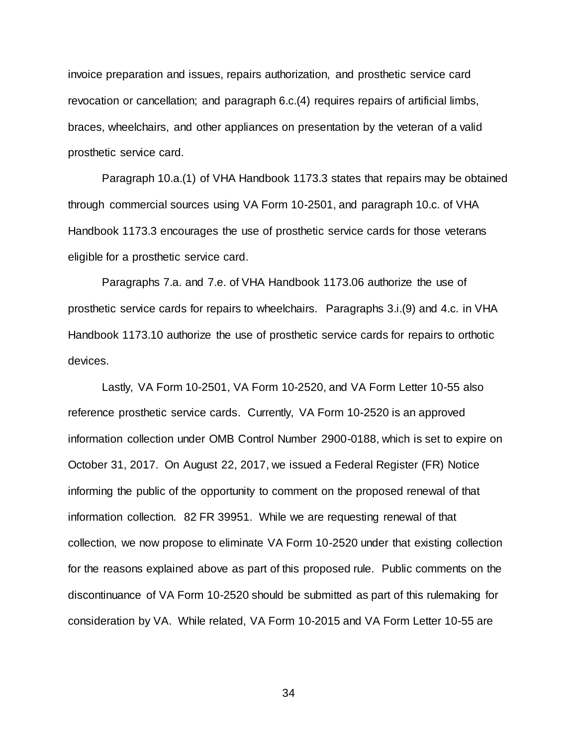invoice preparation and issues, repairs authorization, and prosthetic service card revocation or cancellation; and paragraph 6.c.(4) requires repairs of artificial limbs, braces, wheelchairs, and other appliances on presentation by the veteran of a valid prosthetic service card.

Paragraph 10.a.(1) of VHA Handbook 1173.3 states that repairs may be obtained through commercial sources using VA Form 10-2501, and paragraph 10.c. of VHA Handbook 1173.3 encourages the use of prosthetic service cards for those veterans eligible for a prosthetic service card.

Paragraphs 7.a. and 7.e. of VHA Handbook 1173.06 authorize the use of prosthetic service cards for repairs to wheelchairs. Paragraphs 3.i.(9) and 4.c. in VHA Handbook 1173.10 authorize the use of prosthetic service cards for repairs to orthotic devices.

Lastly, VA Form 10-2501, VA Form 10-2520, and VA Form Letter 10-55 also reference prosthetic service cards. Currently, VA Form 10-2520 is an approved information collection under OMB Control Number 2900-0188, which is set to expire on October 31, 2017. On August 22, 2017, we issued a Federal Register (FR) Notice informing the public of the opportunity to comment on the proposed renewal of that information collection. 82 FR 39951. While we are requesting renewal of that collection, we now propose to eliminate VA Form 10-2520 under that existing collection for the reasons explained above as part of this proposed rule. Public comments on the discontinuance of VA Form 10-2520 should be submitted as part of this rulemaking for consideration by VA. While related, VA Form 10-2015 and VA Form Letter 10-55 are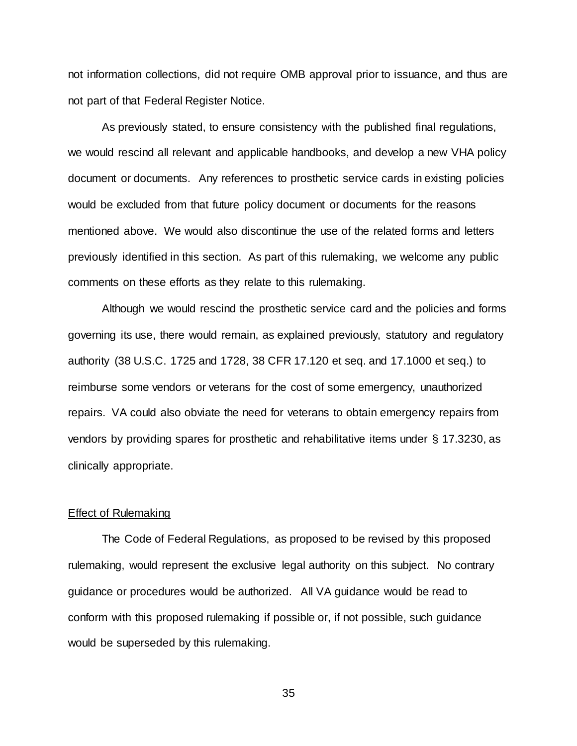not information collections, did not require OMB approval prior to issuance, and thus are not part of that Federal Register Notice.

As previously stated, to ensure consistency with the published final regulations, we would rescind all relevant and applicable handbooks, and develop a new VHA policy document or documents. Any references to prosthetic service cards in existing policies would be excluded from that future policy document or documents for the reasons mentioned above. We would also discontinue the use of the related forms and letters previously identified in this section. As part of this rulemaking, we welcome any public comments on these efforts as they relate to this rulemaking.

Although we would rescind the prosthetic service card and the policies and forms governing its use, there would remain, as explained previously, statutory and regulatory authority (38 U.S.C. 1725 and 1728, 38 CFR 17.120 et seq. and 17.1000 et seq.) to reimburse some vendors or veterans for the cost of some emergency, unauthorized repairs. VA could also obviate the need for veterans to obtain emergency repairs from vendors by providing spares for prosthetic and rehabilitative items under § 17.3230, as clinically appropriate.

## Effect of Rulemaking

The Code of Federal Regulations, as proposed to be revised by this proposed rulemaking, would represent the exclusive legal authority on this subject. No contrary guidance or procedures would be authorized. All VA guidance would be read to conform with this proposed rulemaking if possible or, if not possible, such guidance would be superseded by this rulemaking.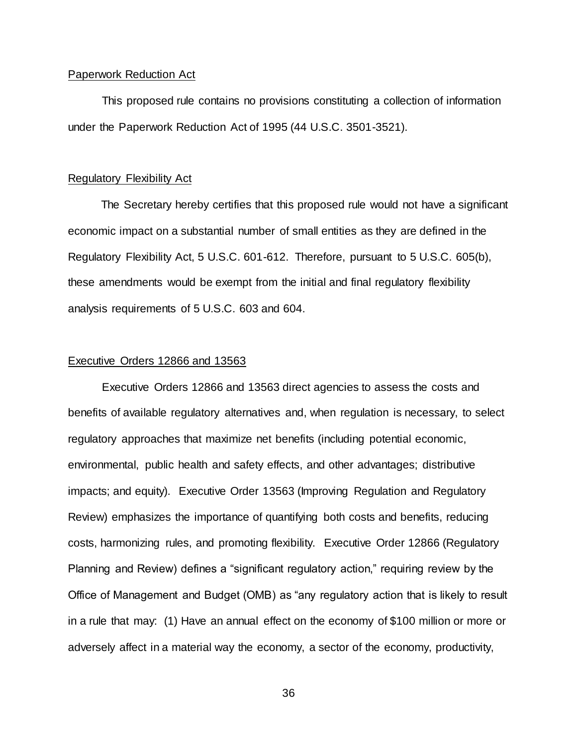#### Paperwork Reduction Act

This proposed rule contains no provisions constituting a collection of information under the Paperwork Reduction Act of 1995 (44 U.S.C. 3501-3521).

### Regulatory Flexibility Act

The Secretary hereby certifies that this proposed rule would not have a significant economic impact on a substantial number of small entities as they are defined in the Regulatory Flexibility Act, 5 U.S.C. 601-612. Therefore, pursuant to 5 U.S.C. 605(b), these amendments would be exempt from the initial and final regulatory flexibility analysis requirements of 5 U.S.C. 603 and 604.

#### Executive Orders 12866 and 13563

Executive Orders 12866 and 13563 direct agencies to assess the costs and benefits of available regulatory alternatives and, when regulation is necessary, to select regulatory approaches that maximize net benefits (including potential economic, environmental, public health and safety effects, and other advantages; distributive impacts; and equity). Executive Order 13563 (Improving Regulation and Regulatory Review) emphasizes the importance of quantifying both costs and benefits, reducing costs, harmonizing rules, and promoting flexibility. Executive Order 12866 (Regulatory Planning and Review) defines a "significant regulatory action," requiring review by the Office of Management and Budget (OMB) as "any regulatory action that is likely to result in a rule that may: (1) Have an annual effect on the economy of \$100 million or more or adversely affect in a material way the economy, a sector of the economy, productivity,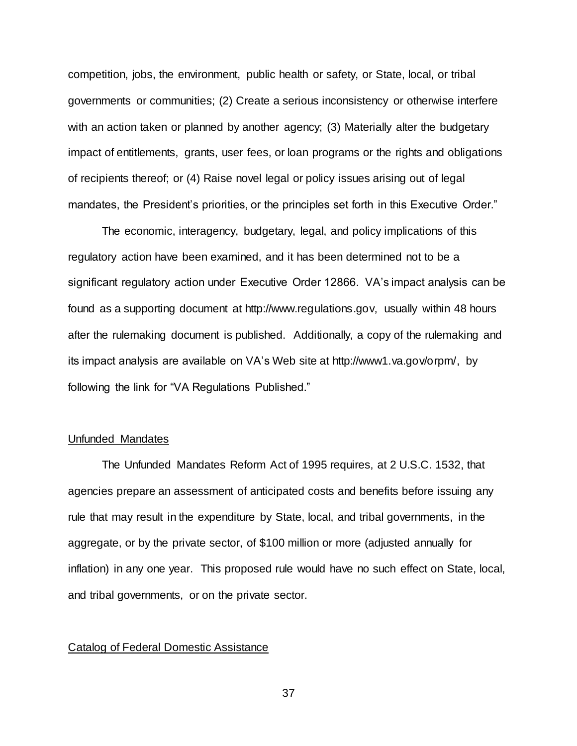competition, jobs, the environment, public health or safety, or State, local, or tribal governments or communities; (2) Create a serious inconsistency or otherwise interfere with an action taken or planned by another agency; (3) Materially alter the budgetary impact of entitlements, grants, user fees, or loan programs or the rights and obligations of recipients thereof; or (4) Raise novel legal or policy issues arising out of legal mandates, the President's priorities, or the principles set forth in this Executive Order."

The economic, interagency, budgetary, legal, and policy implications of this regulatory action have been examined, and it has been determined not to be a significant regulatory action under Executive Order 12866. VA's impact analysis can be found as a supporting document at http://www.regulations.gov, usually within 48 hours after the rulemaking document is published. Additionally, a copy of the rulemaking and its impact analysis are available on VA's Web site at http://www1.va.gov/orpm/, by following the link for "VA Regulations Published."

### Unfunded Mandates

The Unfunded Mandates Reform Act of 1995 requires, at 2 U.S.C. 1532, that agencies prepare an assessment of anticipated costs and benefits before issuing any rule that may result in the expenditure by State, local, and tribal governments, in the aggregate, or by the private sector, of \$100 million or more (adjusted annually for inflation) in any one year. This proposed rule would have no such effect on State, local, and tribal governments, or on the private sector.

# Catalog of Federal Domestic Assistance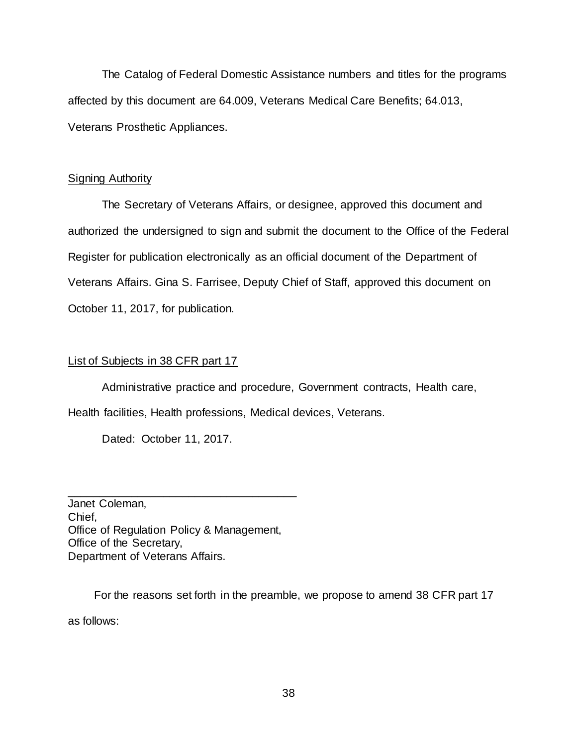The Catalog of Federal Domestic Assistance numbers and titles for the programs affected by this document are 64.009, Veterans Medical Care Benefits; 64.013, Veterans Prosthetic Appliances.

# Signing Authority

The Secretary of Veterans Affairs, or designee, approved this document and authorized the undersigned to sign and submit the document to the Office of the Federal Register for publication electronically as an official document of the Department of Veterans Affairs. Gina S. Farrisee, Deputy Chief of Staff, approved this document on October 11, 2017, for publication.

# List of Subjects in 38 CFR part 17

Administrative practice and procedure, Government contracts, Health care, Health facilities, Health professions, Medical devices, Veterans.

Dated: October 11, 2017.

Janet Coleman, Chief, Office of Regulation Policy & Management, Office of the Secretary, Department of Veterans Affairs.

\_\_\_\_\_\_\_\_\_\_\_\_\_\_\_\_\_\_\_\_\_\_\_\_\_\_\_\_\_\_\_\_\_\_\_\_

For the reasons set forth in the preamble, we propose to amend 38 CFR part 17 as follows: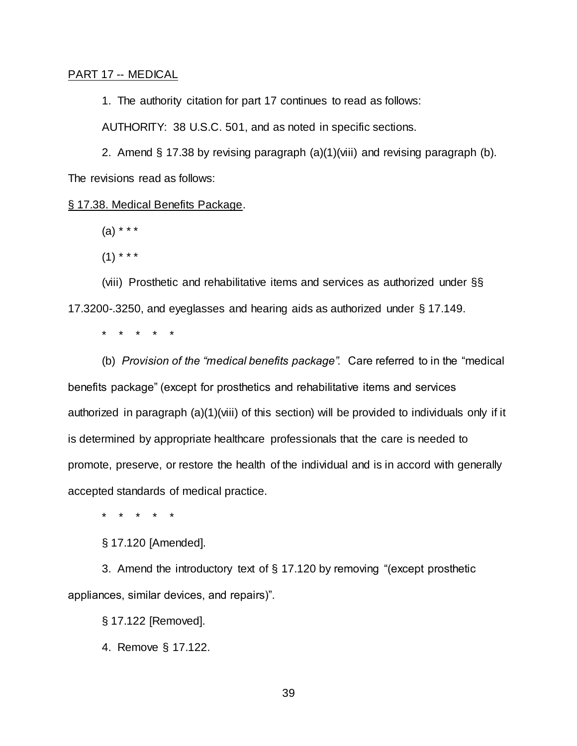## PART 17 -- MEDICAL

1. The authority citation for part 17 continues to read as follows:

AUTHORITY: 38 U.S.C. 501, and as noted in specific sections.

2. Amend § 17.38 by revising paragraph (a)(1)(viii) and revising paragraph (b). The revisions read as follows:

### § 17.38. Medical Benefits Package.

 $(a) * * * *$ 

 $(1)$  \* \* \*

(viii) Prosthetic and rehabilitative items and services as authorized under §§ 17.3200-.3250, and eyeglasses and hearing aids as authorized under § 17.149.

\* \* \* \* \*

(b) *Provision of the "medical benefits package".* Care referred to in the "medical benefits package" (except for prosthetics and rehabilitative items and services authorized in paragraph (a)(1)(viii) of this section) will be provided to individuals only if it is determined by appropriate healthcare professionals that the care is needed to promote, preserve, or restore the health of the individual and is in accord with generally accepted standards of medical practice.

\* \* \* \* \*

§ 17.120 [Amended].

3. Amend the introductory text of § 17.120 by removing "(except prosthetic appliances, similar devices, and repairs)".

§ 17.122 [Removed].

4. Remove § 17.122.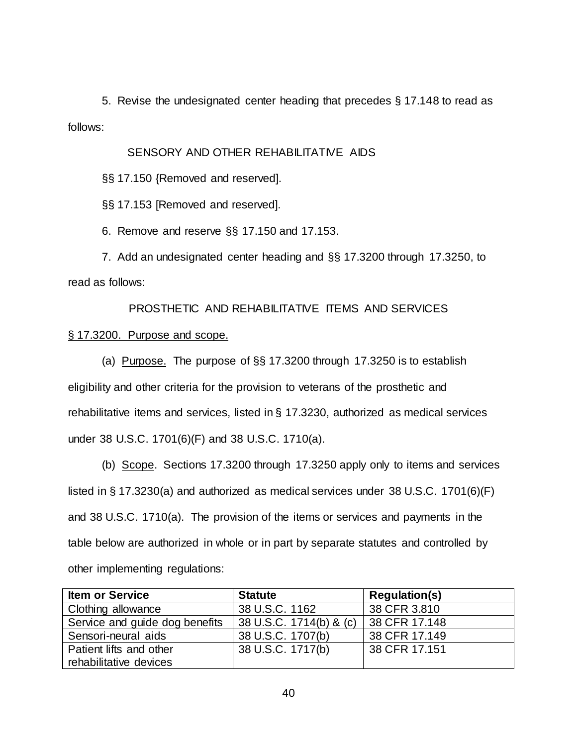5. Revise the undesignated center heading that precedes § 17.148 to read as follows:

SENSORY AND OTHER REHABILITATIVE AIDS

§§ 17.150 {Removed and reserved].

§§ 17.153 [Removed and reserved].

6. Remove and reserve §§ 17.150 and 17.153.

7. Add an undesignated center heading and §§ 17.3200 through 17.3250, to read as follows:

PROSTHETIC AND REHABILITATIVE ITEMS AND SERVICES § 17.3200. Purpose and scope.

(a) Purpose. The purpose of §§ 17.3200 through 17.3250 is to establish eligibility and other criteria for the provision to veterans of the prosthetic and rehabilitative items and services, listed in § 17.3230, authorized as medical services under 38 U.S.C. 1701(6)(F) and 38 U.S.C. 1710(a).

(b) Scope. Sections 17.3200 through 17.3250 apply only to items and services listed in § 17.3230(a) and authorized as medical services under 38 U.S.C. 1701(6)(F) and 38 U.S.C. 1710(a). The provision of the items or services and payments in the table below are authorized in whole or in part by separate statutes and controlled by other implementing regulations:

| <b>Item or Service</b>         | <b>Statute</b>          | <b>Regulation(s)</b> |
|--------------------------------|-------------------------|----------------------|
| Clothing allowance             | 38 U.S.C. 1162          | 38 CFR 3.810         |
| Service and guide dog benefits | 38 U.S.C. 1714(b) & (c) | 38 CFR 17.148        |
| Sensori-neural aids            | 38 U.S.C. 1707(b)       | 38 CFR 17.149        |
| Patient lifts and other        | 38 U.S.C. 1717(b)       | 38 CFR 17.151        |
| rehabilitative devices         |                         |                      |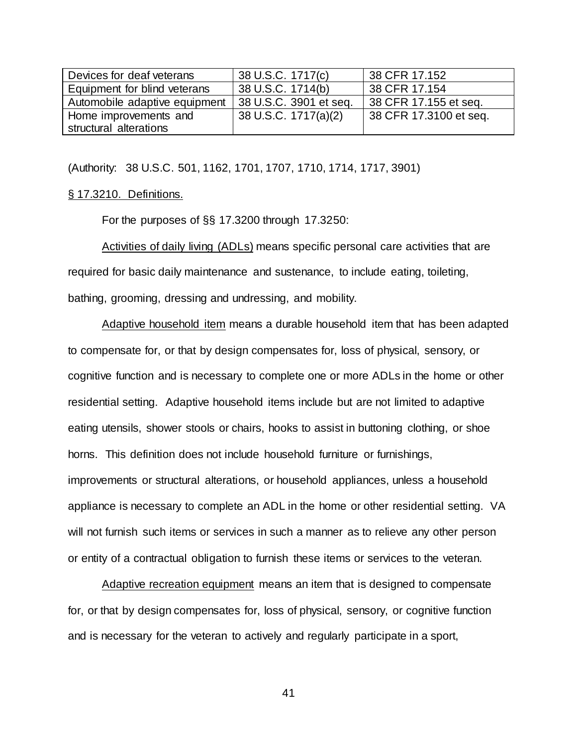| Devices for deaf veterans     | 38 U.S.C. 1717(c)      | 38 CFR 17.152          |
|-------------------------------|------------------------|------------------------|
| Equipment for blind veterans  | 38 U.S.C. 1714(b)      | 38 CFR 17.154          |
| Automobile adaptive equipment | 38 U.S.C. 3901 et seq. | 38 CFR 17.155 et seq.  |
| Home improvements and         | 38 U.S.C. 1717(a)(2)   | 38 CFR 17.3100 et seq. |
| structural alterations        |                        |                        |

(Authority: 38 U.S.C. 501, 1162, 1701, 1707, 1710, 1714, 1717, 3901)

§ 17.3210. Definitions.

For the purposes of §§ 17.3200 through 17.3250:

Activities of daily living (ADLs) means specific personal care activities that are required for basic daily maintenance and sustenance, to include eating, toileting, bathing, grooming, dressing and undressing, and mobility.

Adaptive household item means a durable household item that has been adapted to compensate for, or that by design compensates for, loss of physical, sensory, or cognitive function and is necessary to complete one or more ADLs in the home or other residential setting. Adaptive household items include but are not limited to adaptive eating utensils, shower stools or chairs, hooks to assist in buttoning clothing, or shoe horns. This definition does not include household furniture or furnishings, improvements or structural alterations, or household appliances, unless a household appliance is necessary to complete an ADL in the home or other residential setting. VA will not furnish such items or services in such a manner as to relieve any other person or entity of a contractual obligation to furnish these items or services to the veteran.

Adaptive recreation equipment means an item that is designed to compensate for, or that by design compensates for, loss of physical, sensory, or cognitive function and is necessary for the veteran to actively and regularly participate in a sport,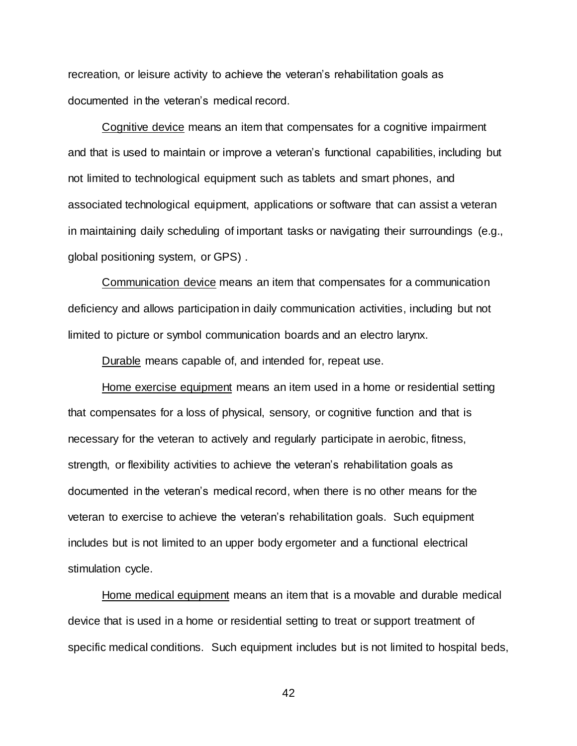recreation, or leisure activity to achieve the veteran's rehabilitation goals as documented in the veteran's medical record.

Cognitive device means an item that compensates for a cognitive impairment and that is used to maintain or improve a veteran's functional capabilities, including but not limited to technological equipment such as tablets and smart phones, and associated technological equipment, applications or software that can assist a veteran in maintaining daily scheduling of important tasks or navigating their surroundings (e.g., global positioning system, or GPS) .

Communication device means an item that compensates for a communication deficiency and allows participation in daily communication activities, including but not limited to picture or symbol communication boards and an electro larynx.

Durable means capable of, and intended for, repeat use.

Home exercise equipment means an item used in a home or residential setting that compensates for a loss of physical, sensory, or cognitive function and that is necessary for the veteran to actively and regularly participate in aerobic, fitness, strength, or flexibility activities to achieve the veteran's rehabilitation goals as documented in the veteran's medical record, when there is no other means for the veteran to exercise to achieve the veteran's rehabilitation goals. Such equipment includes but is not limited to an upper body ergometer and a functional electrical stimulation cycle.

Home medical equipment means an item that is a movable and durable medical device that is used in a home or residential setting to treat or support treatment of specific medical conditions. Such equipment includes but is not limited to hospital beds,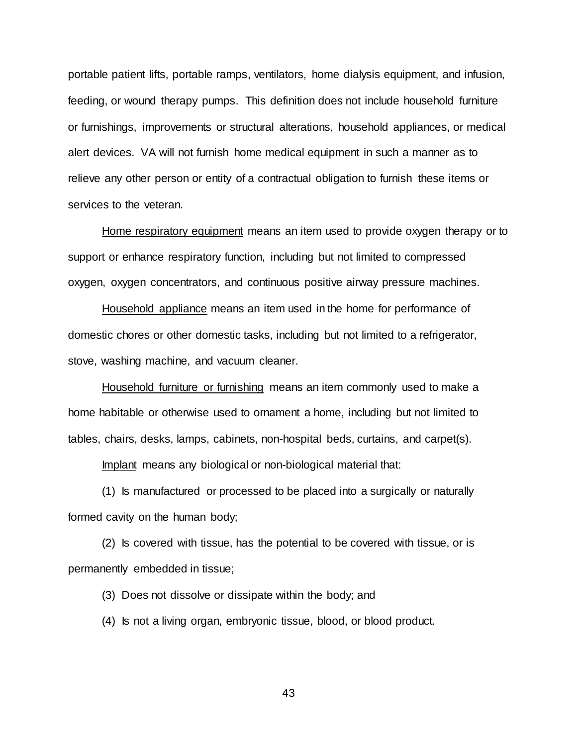portable patient lifts, portable ramps, ventilators, home dialysis equipment, and infusion, feeding, or wound therapy pumps. This definition does not include household furniture or furnishings, improvements or structural alterations, household appliances, or medical alert devices. VA will not furnish home medical equipment in such a manner as to relieve any other person or entity of a contractual obligation to furnish these items or services to the veteran.

Home respiratory equipment means an item used to provide oxygen therapy or to support or enhance respiratory function, including but not limited to compressed oxygen, oxygen concentrators, and continuous positive airway pressure machines.

Household appliance means an item used in the home for performance of domestic chores or other domestic tasks, including but not limited to a refrigerator, stove, washing machine, and vacuum cleaner.

Household furniture or furnishing means an item commonly used to make a home habitable or otherwise used to ornament a home, including but not limited to tables, chairs, desks, lamps, cabinets, non-hospital beds, curtains, and carpet(s).

Implant means any biological or non-biological material that:

(1) Is manufactured or processed to be placed into a surgically or naturally formed cavity on the human body;

(2) Is covered with tissue, has the potential to be covered with tissue, or is permanently embedded in tissue;

(3) Does not dissolve or dissipate within the body; and

(4) Is not a living organ, embryonic tissue, blood, or blood product.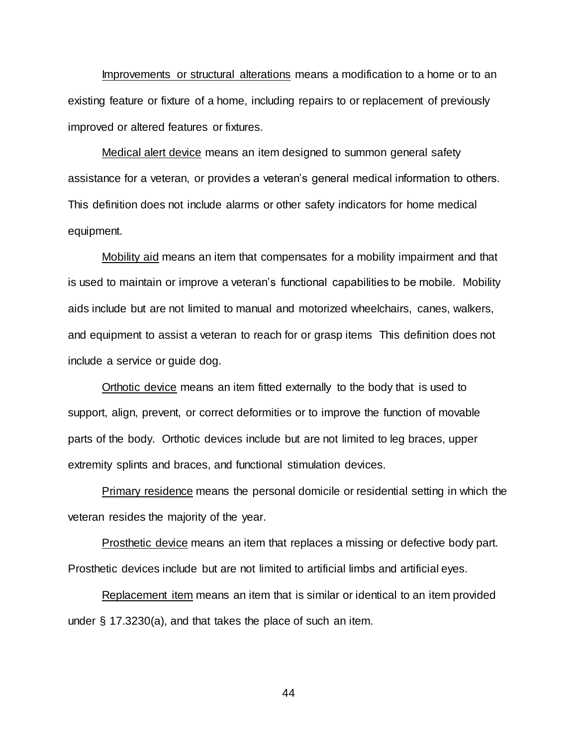Improvements or structural alterations means a modification to a home or to an existing feature or fixture of a home, including repairs to or replacement of previously improved or altered features or fixtures.

Medical alert device means an item designed to summon general safety assistance for a veteran, or provides a veteran's general medical information to others. This definition does not include alarms or other safety indicators for home medical equipment.

Mobility aid means an item that compensates for a mobility impairment and that is used to maintain or improve a veteran's functional capabilities to be mobile. Mobility aids include but are not limited to manual and motorized wheelchairs, canes, walkers, and equipment to assist a veteran to reach for or grasp items This definition does not include a service or guide dog.

Orthotic device means an item fitted externally to the body that is used to support, align, prevent, or correct deformities or to improve the function of movable parts of the body. Orthotic devices include but are not limited to leg braces, upper extremity splints and braces, and functional stimulation devices.

Primary residence means the personal domicile or residential setting in which the veteran resides the majority of the year.

Prosthetic device means an item that replaces a missing or defective body part. Prosthetic devices include but are not limited to artificial limbs and artificial eyes.

Replacement item means an item that is similar or identical to an item provided under § 17.3230(a), and that takes the place of such an item.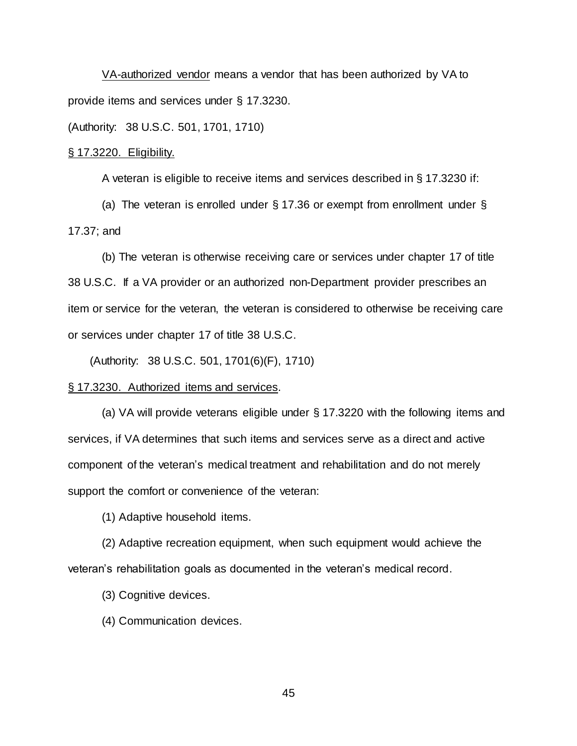VA-authorized vendor means a vendor that has been authorized by VA to provide items and services under § 17.3230.

(Authority: 38 U.S.C. 501, 1701, 1710)

#### § 17.3220. Eligibility.

A veteran is eligible to receive items and services described in § 17.3230 if:

(a) The veteran is enrolled under  $\S$  17.36 or exempt from enrollment under  $\S$ 17.37; and

(b) The veteran is otherwise receiving care or services under chapter 17 of title 38 U.S.C. If a VA provider or an authorized non-Department provider prescribes an item or service for the veteran, the veteran is considered to otherwise be receiving care or services under chapter 17 of title 38 U.S.C.

(Authority: 38 U.S.C. 501, 1701(6)(F), 1710)

## § 17.3230. Authorized items and services.

(a) VA will provide veterans eligible under § 17.3220 with the following items and services, if VA determines that such items and services serve as a direct and active component of the veteran's medical treatment and rehabilitation and do not merely support the comfort or convenience of the veteran:

(1) Adaptive household items.

(2) Adaptive recreation equipment, when such equipment would achieve the veteran's rehabilitation goals as documented in the veteran's medical record.

(3) Cognitive devices.

(4) Communication devices.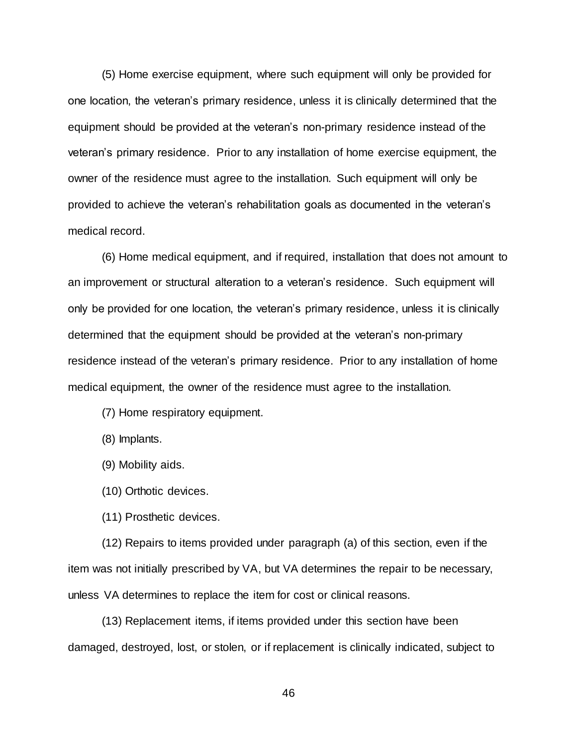(5) Home exercise equipment, where such equipment will only be provided for one location, the veteran's primary residence, unless it is clinically determined that the equipment should be provided at the veteran's non-primary residence instead of the veteran's primary residence. Prior to any installation of home exercise equipment, the owner of the residence must agree to the installation. Such equipment will only be provided to achieve the veteran's rehabilitation goals as documented in the veteran's medical record.

(6) Home medical equipment, and if required, installation that does not amount to an improvement or structural alteration to a veteran's residence. Such equipment will only be provided for one location, the veteran's primary residence, unless it is clinically determined that the equipment should be provided at the veteran's non-primary residence instead of the veteran's primary residence. Prior to any installation of home medical equipment, the owner of the residence must agree to the installation.

(7) Home respiratory equipment.

(8) Implants.

(9) Mobility aids.

(10) Orthotic devices.

(11) Prosthetic devices.

(12) Repairs to items provided under paragraph (a) of this section, even if the item was not initially prescribed by VA, but VA determines the repair to be necessary, unless VA determines to replace the item for cost or clinical reasons.

(13) Replacement items, if items provided under this section have been damaged, destroyed, lost, or stolen, or if replacement is clinically indicated, subject to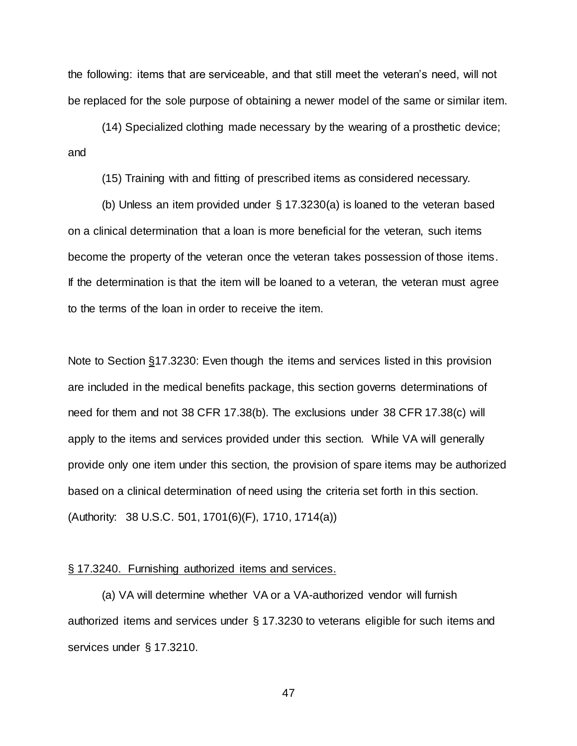the following: items that are serviceable, and that still meet the veteran's need, will not be replaced for the sole purpose of obtaining a newer model of the same or similar item.

(14) Specialized clothing made necessary by the wearing of a prosthetic device; and

(15) Training with and fitting of prescribed items as considered necessary.

(b) Unless an item provided under § 17.3230(a) is loaned to the veteran based on a clinical determination that a loan is more beneficial for the veteran, such items become the property of the veteran once the veteran takes possession of those items. If the determination is that the item will be loaned to a veteran, the veteran must agree to the terms of the loan in order to receive the item.

Note to Section §17.3230: Even though the items and services listed in this provision are included in the medical benefits package, this section governs determinations of need for them and not 38 CFR 17.38(b). The exclusions under 38 CFR 17.38(c) will apply to the items and services provided under this section. While VA will generally provide only one item under this section, the provision of spare items may be authorized based on a clinical determination of need using the criteria set forth in this section. (Authority: 38 U.S.C. 501, 1701(6)(F), 1710, 1714(a))

### § 17.3240. Furnishing authorized items and services.

(a) VA will determine whether VA or a VA-authorized vendor will furnish authorized items and services under § 17.3230 to veterans eligible for such items and services under § 17.3210.